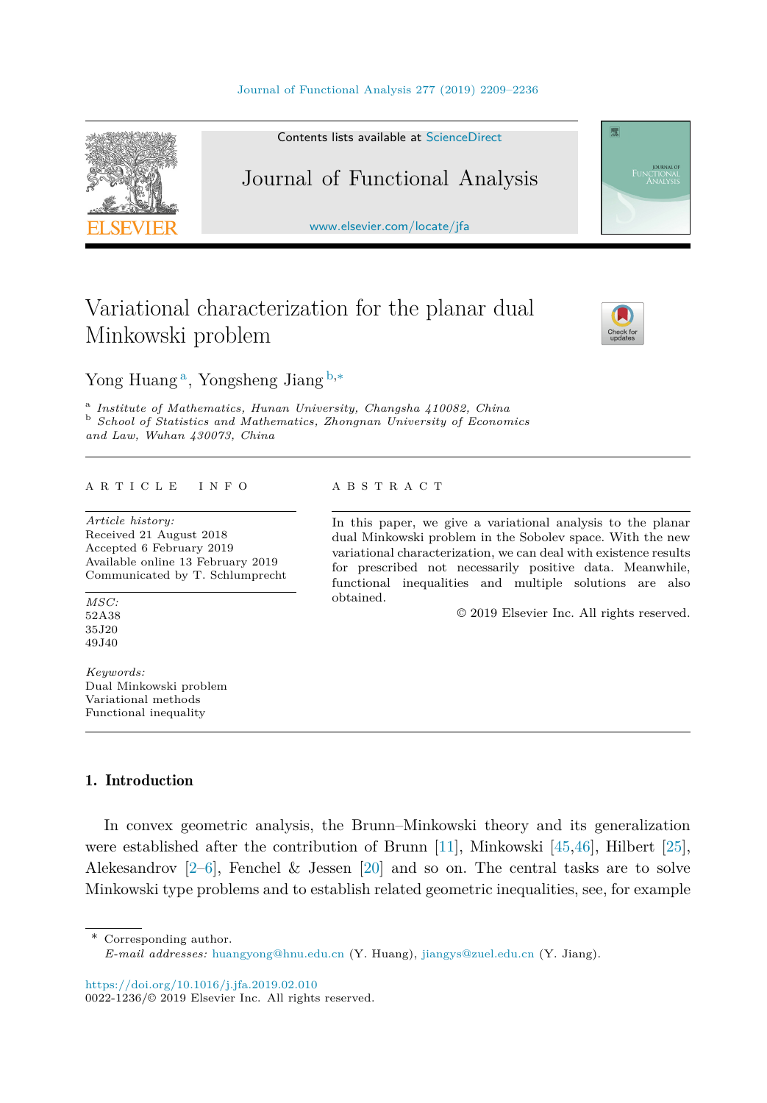

Contents lists available at [ScienceDirect](http://www.ScienceDirect.com/)

## Journal of Functional Analysis

[www.elsevier.com/locate/jfa](http://www.elsevier.com/locate/jfa)

# Variational characterization for the planar dual Minkowski problem



FUNCTIONAL

Yong Huang <sup>a</sup>, Yongsheng Jiang <sup>b</sup>*,*<sup>∗</sup>

<sup>a</sup> Institute of Mathematics, Hunan University, Changsha 410082, China<br><sup>b</sup> School of Statistics and Mathematics, Zhongnan University of Economics *and Law, Wuhan 430073, China*

#### A R T I C L E I N F O A B S T R A C T

*Article history:* Received 21 August 2018 Accepted 6 February 2019 Available online 13 February 2019 Communicated by T. Schlumprecht

*MSC:* 52A38 35J20 49J40

*Keywords:* Dual Minkowski problem Variational methods Functional inequality

In this paper, we give a variational analysis to the planar dual Minkowski problem in the Sobolev space. With the new variational characterization, we can deal with existence results for prescribed not necessarily positive data. Meanwhile, functional inequalities and multiple solutions are also obtained.

© 2019 Elsevier Inc. All rights reserved.

### 1. Introduction

In convex geometric analysis, the Brunn–Minkowski theory and its generalization were established after the contribution of Brunn [\[11\]](#page-25-0), Minkowski [\[45,46\]](#page-26-0), Hilbert [\[25\]](#page-26-0), Alekesandrov  $[2-6]$ , Fenchel & Jessen  $[20]$  and so on. The central tasks are to solve Minkowski type problems and to establish related geometric inequalities, see, for example

Corresponding author.

<https://doi.org/10.1016/j.jfa.2019.02.010>

*E-mail addresses:* [huangyong@hnu.edu.cn](mailto:huangyong@hnu.edu.cn) (Y. Huang), [jiangys@zuel.edu.cn](mailto:jiangys@zuel.edu.cn) (Y. Jiang).

<sup>0022-1236/©</sup> 2019 Elsevier Inc. All rights reserved.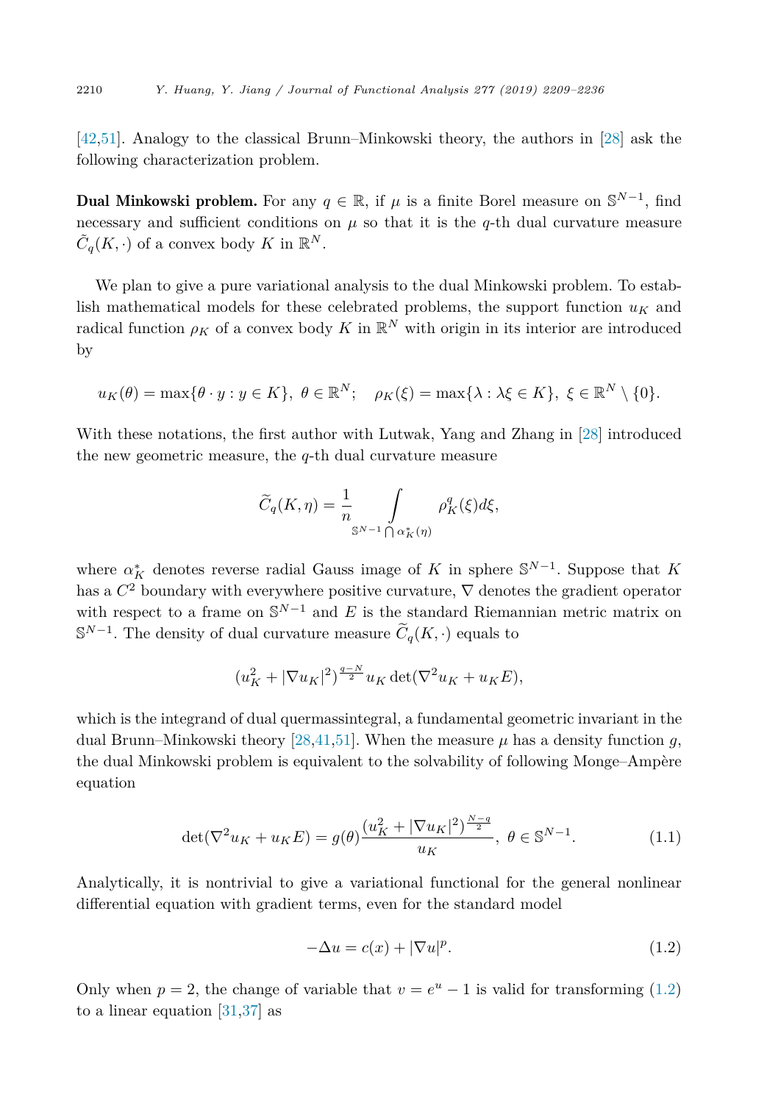<span id="page-1-0"></span>[\[42,51\]](#page-26-0). Analogy to the classical Brunn–Minkowski theory, the authors in [\[28\]](#page-26-0) ask the following characterization problem.

**Dual Minkowski problem.** For any  $q \in \mathbb{R}$ , if  $\mu$  is a finite Borel measure on  $\mathbb{S}^{N-1}$ , find necessary and sufficient conditions on  $\mu$  so that it is the *q*-th dual curvature measure  $\tilde{C}_q(K, \cdot)$  of a convex body *K* in  $\mathbb{R}^N$ .

We plan to give a pure variational analysis to the dual Minkowski problem. To establish mathematical models for these celebrated problems, the support function  $u_K$  and radical function  $\rho_K$  of a convex body *K* in  $\mathbb{R}^N$  with origin in its interior are introduced by

$$
u_K(\theta) = \max\{\theta \cdot y : y \in K\}, \ \theta \in \mathbb{R}^N; \quad \rho_K(\xi) = \max\{\lambda : \lambda \xi \in K\}, \ \xi \in \mathbb{R}^N \setminus \{0\}.
$$

With these notations, the first author with Lutwak, Yang and Zhang in [\[28\]](#page-26-0) introduced the new geometric measure, the *q*-th dual curvature measure

$$
\widetilde{C}_q(K,\eta) = \frac{1}{n} \int_{\mathbb{S}^{N-1} \bigcap \alpha_K^*(\eta)} \rho_K^q(\xi) d\xi,
$$

where  $\alpha_K^*$  denotes reverse radial Gauss image of *K* in sphere  $\mathbb{S}^{N-1}$ . Suppose that *K* has a  $C^2$  boundary with everywhere positive curvature,  $\nabla$  denotes the gradient operator with respect to a frame on S*<sup>N</sup>*−<sup>1</sup> and *E* is the standard Riemannian metric matrix on  $S^{N-1}$ . The density of dual curvature measure  $\widetilde{C}_q(K, \cdot)$  equals to

$$
(uK2 + |\nabla uK|2) \frac{q-N}{2} uK det(\nabla2 uK + uKE),
$$

which is the integrand of dual quermassintegral, a fundamental geometric invariant in the dual Brunn–Minkowski theory [\[28,41,51\]](#page-26-0). When the measure  $\mu$  has a density function q, the dual Minkowski problem is equivalent to the solvability of following Monge–Ampère equation

$$
\det(\nabla^2 u_K + u_K E) = g(\theta) \frac{(u_K^2 + |\nabla u_K|^2)^{\frac{N-q}{2}}}{u_K}, \ \theta \in \mathbb{S}^{N-1}.
$$
 (1.1)

Analytically, it is nontrivial to give a variational functional for the general nonlinear differential equation with gradient terms, even for the standard model

$$
-\Delta u = c(x) + |\nabla u|^p. \tag{1.2}
$$

Only when  $p = 2$ , the change of variable that  $v = e^u - 1$  is valid for transforming (1.2) to a linear equation [\[31,37\]](#page-26-0) as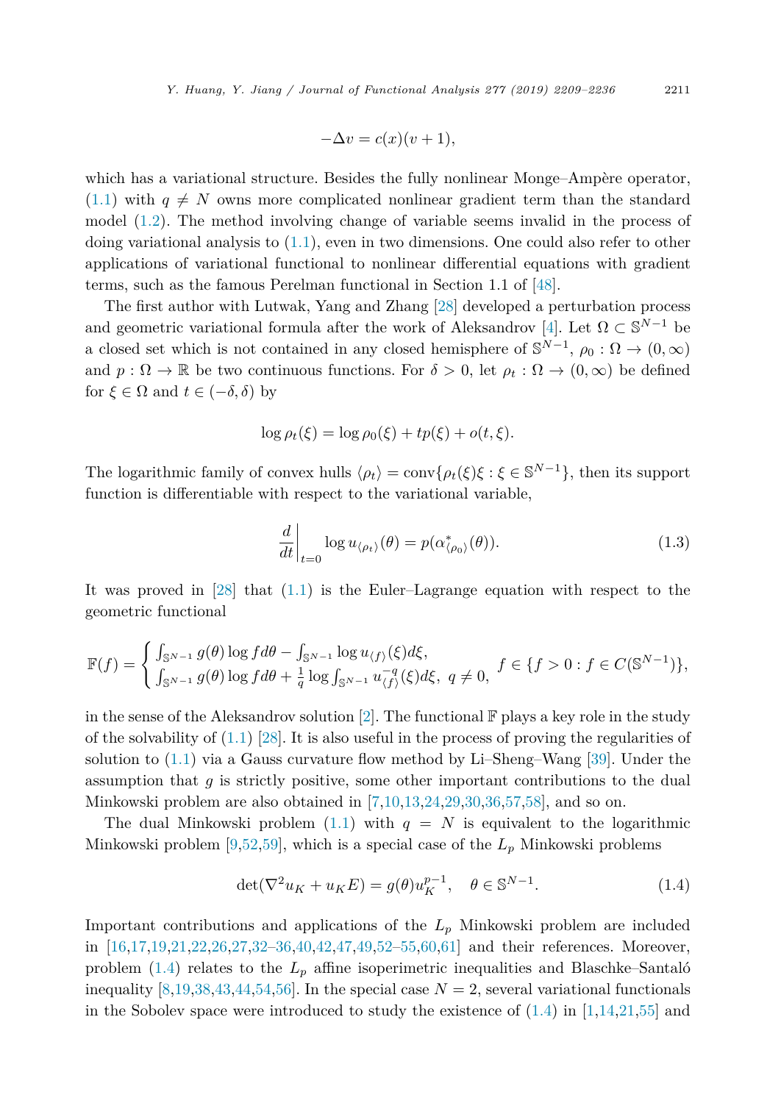$$
-\Delta v = c(x)(v+1),
$$

<span id="page-2-0"></span>which has a variational structure. Besides the fully nonlinear Monge–Ampère operator,  $(1.1)$  with  $q \neq N$  owns more complicated nonlinear gradient term than the standard model [\(1.2\)](#page-1-0). The method involving change of variable seems invalid in the process of doing variational analysis to  $(1.1)$ , even in two dimensions. One could also refer to other applications of variational functional to nonlinear differential equations with gradient terms, such as the famous Perelman functional in Section 1.1 of [\[48\]](#page-26-0).

The first author with Lutwak, Yang and Zhang [\[28\]](#page-26-0) developed a perturbation process and geometric variational formula after the work of Aleksandrov [\[4\]](#page-25-0). Let  $\Omega \subset \mathbb{S}^{N-1}$  be a closed set which is not contained in any closed hemisphere of  $\mathbb{S}^{N-1}$ ,  $\rho_0 : \Omega \to (0, \infty)$ and  $p: \Omega \to \mathbb{R}$  be two continuous functions. For  $\delta > 0$ , let  $\rho_t: \Omega \to (0, \infty)$  be defined for  $\xi \in \Omega$  and  $t \in (-\delta, \delta)$  by

$$
\log \rho_t(\xi) = \log \rho_0(\xi) + tp(\xi) + o(t, \xi).
$$

The logarithmic family of convex hulls  $\langle \rho_t \rangle = \text{conv}\{\rho_t(\xi)\xi : \xi \in \mathbb{S}^{N-1}\}\$ , then its support function is differentiable with respect to the variational variable,

$$
\left. \frac{d}{dt} \right|_{t=0} \log u_{\langle \rho_t \rangle}(\theta) = p(\alpha_{\langle \rho_0 \rangle}^*(\theta)). \tag{1.3}
$$

It was proved in [\[28\]](#page-26-0) that [\(1.1\)](#page-1-0) is the Euler–Lagrange equation with respect to the geometric functional

$$
\mathbb{F}(f) = \begin{cases} \int_{\mathbb{S}^{N-1}} g(\theta) \log f d\theta - \int_{\mathbb{S}^{N-1}} \log u_{\langle f \rangle}(\xi) d\xi, \\ \int_{\mathbb{S}^{N-1}} g(\theta) \log f d\theta + \frac{1}{q} \log \int_{\mathbb{S}^{N-1}} u_{\langle f \rangle}^{-q}(\xi) d\xi, \ q \neq 0, \end{cases} f \in \{f > 0 : f \in C(\mathbb{S}^{N-1})\},\
$$

in the sense of the Aleksandrov solution [\[2\]](#page-25-0). The functional  $\mathbb F$  plays a key role in the study of the solvability of  $(1.1)$  [\[28\]](#page-26-0). It is also useful in the process of proving the regularities of solution to [\(1.1\)](#page-1-0) via a Gauss curvature flow method by Li–Sheng–Wang [\[39\]](#page-26-0). Under the assumption that *g* is strictly positive, some other important contributions to the dual Minkowski problem are also obtained in [\[7,10,13,24,](#page-25-0)[29,30,36,](#page-26-0)[57,58\]](#page-27-0), and so on.

The dual Minkowski problem  $(1.1)$  with  $q = N$  is equivalent to the logarithmic Minkowski problem [\[9,](#page-25-0)[52](#page-26-0)[,59\]](#page-27-0), which is a special case of the *L<sup>p</sup>* Minkowski problems

$$
\det(\nabla^2 u_K + u_K E) = g(\theta)u_K^{p-1}, \quad \theta \in \mathbb{S}^{N-1}.
$$
\n(1.4)

Important contributions and applications of the *L<sup>p</sup>* Minkowski problem are included in [\[16,17,19,21,22](#page-25-0)[,26,27,32–36,40,42,47,49,52–55,](#page-26-0)[60,61\]](#page-27-0) and their references. Moreover, problem  $(1.4)$  relates to the  $L_p$  affine isoperimetric inequalities and Blaschke–Santaló inequality [\[8,19,](#page-25-0)[38,43,44,54,](#page-26-0)[56\]](#page-27-0). In the special case  $N = 2$ , several variational functionals in the Sobolev space were introduced to study the existence of  $(1.4)$  in  $[1,14,21,55]$  $[1,14,21,55]$  and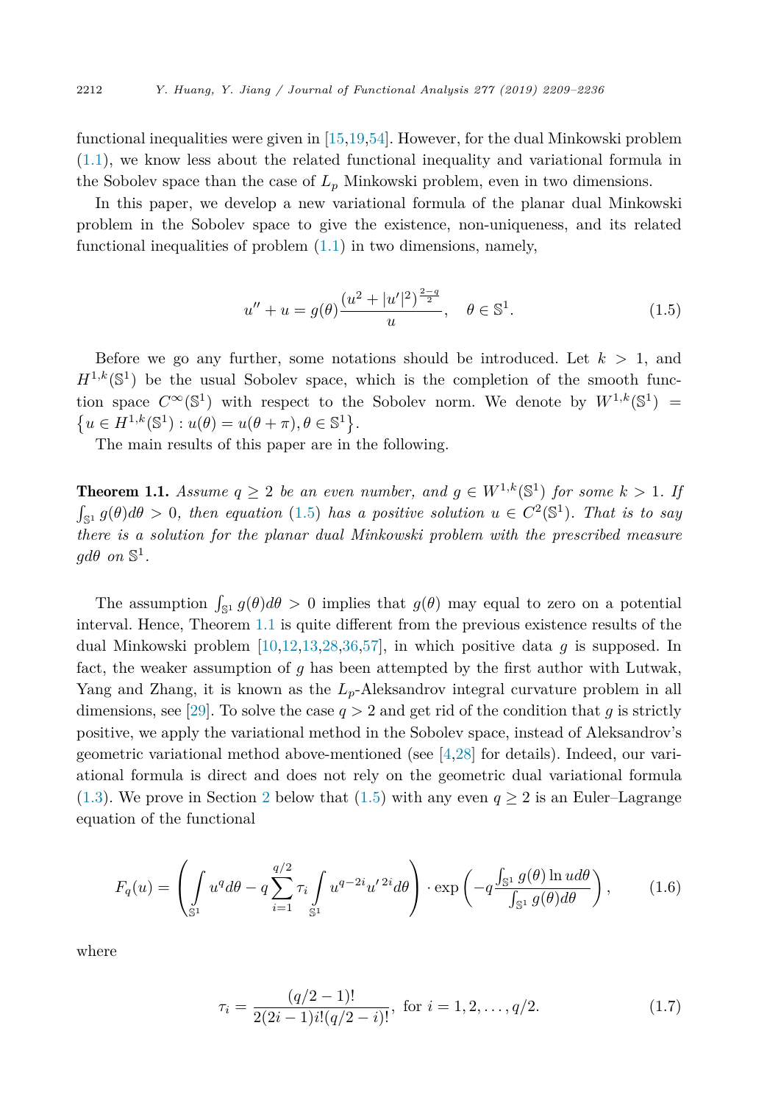<span id="page-3-0"></span>functional inequalities were given in [\[15,19,](#page-25-0)[54\]](#page-26-0). However, for the dual Minkowski problem [\(1.1\)](#page-1-0), we know less about the related functional inequality and variational formula in the Sobolev space than the case of  $L_p$  Minkowski problem, even in two dimensions.

In this paper, we develop a new variational formula of the planar dual Minkowski problem in the Sobolev space to give the existence, non-uniqueness, and its related functional inequalities of problem  $(1.1)$  in two dimensions, namely,

$$
u'' + u = g(\theta) \frac{(u^2 + |u'|^2)^{\frac{2-q}{2}}}{u}, \quad \theta \in \mathbb{S}^1.
$$
 (1.5)

Before we go any further, some notations should be introduced. Let  $k > 1$ , and  $H^{1,k}(\mathbb{S}^1)$  be the usual Sobolev space, which is the completion of the smooth function space  $C^{\infty}(\mathbb{S}^1)$  with respect to the Sobolev norm. We denote by  $W^{1,k}(\mathbb{S}^1)$  =  $\{u \in H^{1,k}(\mathbb{S}^1) : u(\theta) = u(\theta + \pi), \theta \in \mathbb{S}^1\}.$ 

The main results of this paper are in the following.

**Theorem 1.1.** Assume  $q \geq 2$  be an even number, and  $q \in W^{1,k}(\mathbb{S}^1)$  for some  $k > 1$ . If  $\int_{\mathbb{S}^1} g(\theta) d\theta > 0$ , then equation (1.5) has a positive solution  $u \in C^2(\mathbb{S}^1)$ . That is to say *there is a solution for the planar dual Minkowski problem with the prescribed measure*  $qd\theta$  *on*  $\mathbb{S}^1$ *.* 

The assumption  $\int_{\mathbb{S}^1} g(\theta) d\theta > 0$  implies that  $g(\theta)$  may equal to zero on a potential interval. Hence, Theorem 1.1 is quite different from the previous existence results of the dual Minkowski problem [\[10,12,13](#page-25-0)[,28,36,](#page-26-0)[57\]](#page-27-0), in which positive data *g* is supposed. In fact, the weaker assumption of *g* has been attempted by the first author with Lutwak, Yang and Zhang, it is known as the *Lp*-Aleksandrov integral curvature problem in all dimensions, see [\[29\]](#page-26-0). To solve the case  $q > 2$  and get rid of the condition that g is strictly positive, we apply the variational method in the Sobolev space, instead of Aleksandrov's geometric variational method above-mentioned (see [\[4,](#page-25-0)[28\]](#page-26-0) for details). Indeed, our variational formula is direct and does not rely on the geometric dual variational formula [\(1.3\)](#page-2-0). We prove in Section [2](#page-5-0) below that (1.5) with any even  $q \ge 2$  is an Euler–Lagrange equation of the functional

$$
F_q(u) = \left(\int_{\mathbb{S}^1} u^q d\theta - q \sum_{i=1}^{q/2} \tau_i \int_{\mathbb{S}^1} u^{q-2i} u'^{2i} d\theta\right) \cdot \exp\left(-q \frac{\int_{\mathbb{S}^1} g(\theta) \ln u d\theta}{\int_{\mathbb{S}^1} g(\theta) d\theta}\right),\tag{1.6}
$$

where

$$
\tau_i = \frac{(q/2 - 1)!}{2(2i - 1)i!(q/2 - i)!}, \text{ for } i = 1, 2, \dots, q/2.
$$
 (1.7)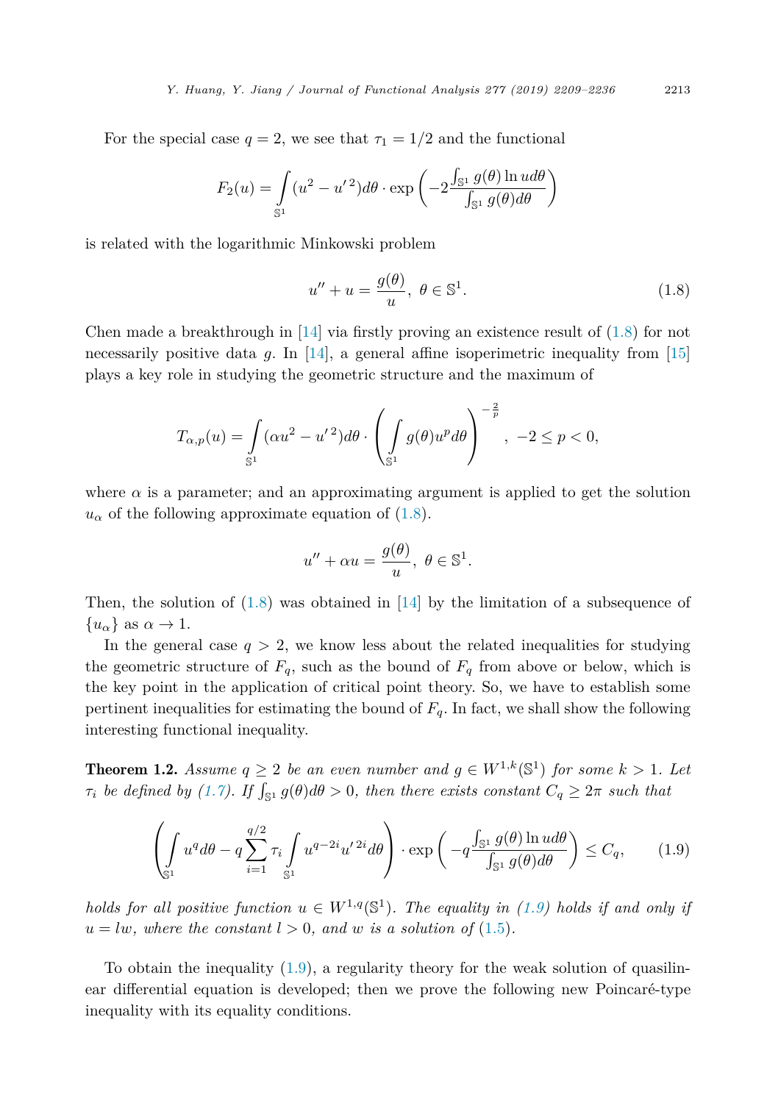<span id="page-4-0"></span>For the special case  $q = 2$ , we see that  $\tau_1 = 1/2$  and the functional

$$
F_2(u) = \int_{\mathbb{S}^1} (u^2 - u'^2) d\theta \cdot \exp\left(-2 \frac{\int_{\mathbb{S}^1} g(\theta) \ln u d\theta}{\int_{\mathbb{S}^1} g(\theta) d\theta}\right)
$$

is related with the logarithmic Minkowski problem

$$
u'' + u = \frac{g(\theta)}{u}, \ \theta \in \mathbb{S}^1. \tag{1.8}
$$

Chen made a breakthrough in  $[14]$  via firstly proving an existence result of  $(1.8)$  for not necessarily positive data *g*. In [\[14\]](#page-25-0), a general affine isoperimetric inequality from [\[15\]](#page-25-0) plays a key role in studying the geometric structure and the maximum of

$$
T_{\alpha,p}(u) = \int_{\mathbb{S}^1} (\alpha u^2 - u'^2) d\theta \cdot \left( \int_{\mathbb{S}^1} g(\theta) u^p d\theta \right)^{-\frac{2}{p}}, \ -2 \le p < 0,
$$

where  $\alpha$  is a parameter; and an approximating argument is applied to get the solution  $u_{\alpha}$  of the following approximate equation of (1.8).

$$
u'' + \alpha u = \frac{g(\theta)}{u}, \ \theta \in \mathbb{S}^1.
$$

Then, the solution of  $(1.8)$  was obtained in [\[14\]](#page-25-0) by the limitation of a subsequence of  ${u_\alpha}$  as  $\alpha \to 1$ .

In the general case  $q > 2$ , we know less about the related inequalities for studying the geometric structure of  $F_q$ , such as the bound of  $F_q$  from above or below, which is the key point in the application of critical point theory. So, we have to establish some pertinent inequalities for estimating the bound of *Fq*. In fact, we shall show the following interesting functional inequality.

**Theorem 1.2.** Assume  $q \geq 2$  be an even number and  $q \in W^{1,k}(\mathbb{S}^1)$  for some  $k > 1$ . Let  $\tau_i$  be defined by [\(1.7\)](#page-3-0). If  $\int_{\mathbb{S}^1} g(\theta) d\theta > 0$ , then there exists constant  $C_q \geq 2\pi$  such that

$$
\left(\int_{\mathbb{S}^1} u^q d\theta - q \sum_{i=1}^{q/2} \tau_i \int_{\mathbb{S}^1} u^{q-2i} u'^{2i} d\theta \right) \cdot \exp\left(-q \frac{\int_{\mathbb{S}^1} g(\theta) \ln u d\theta}{\int_{\mathbb{S}^1} g(\theta) d\theta}\right) \le C_q,\tag{1.9}
$$

*holds for all positive function*  $u \in W^{1,q}(\mathbb{S}^1)$ *. The equality in* (1.9) *holds if and only if*  $u = lw$ *, where the constant*  $l > 0$ *, and w is a solution of* [\(1.5\)](#page-3-0)*.* 

To obtain the inequality  $(1.9)$ , a regularity theory for the weak solution of quasilinear differential equation is developed; then we prove the following new Poincaré-type inequality with its equality conditions.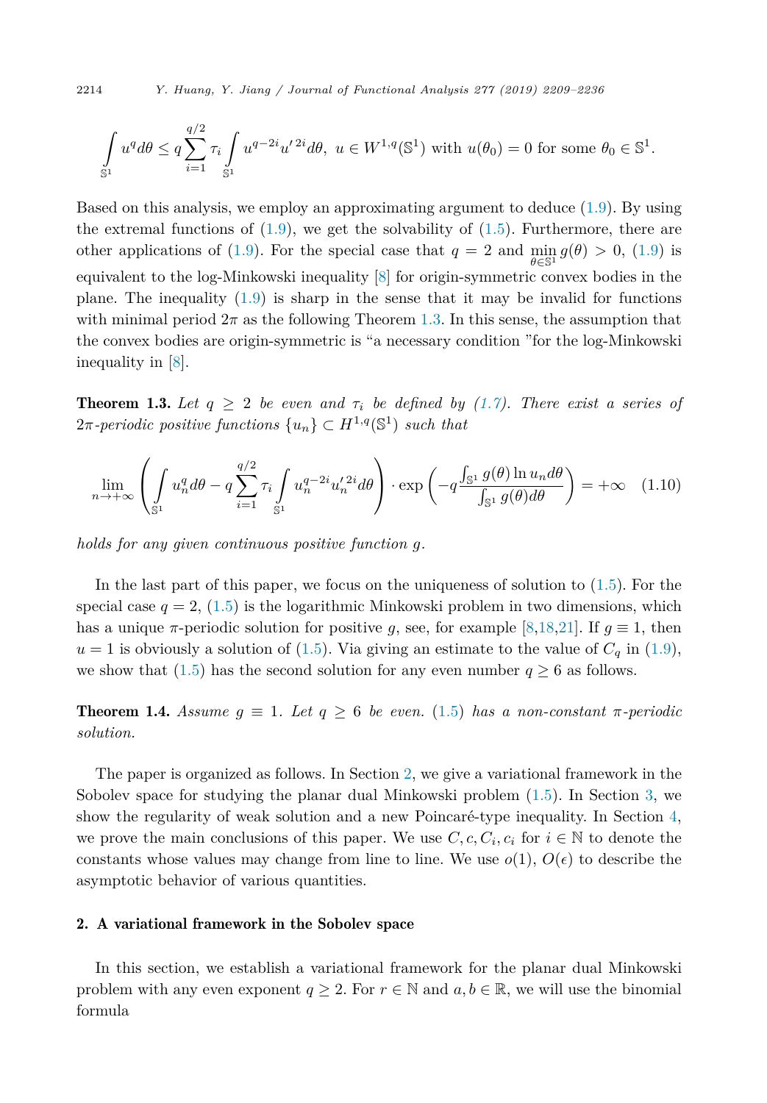<span id="page-5-0"></span>2214 *Y. Huang, Y. Jiang / Journal of Functional Analysis 277 (2019) 2209–2236*

$$
\int_{\mathbb{S}^1} u^q d\theta \le q \sum_{i=1}^{q/2} \tau_i \int_{\mathbb{S}^1} u^{q-2i} u'^{2i} d\theta, \ u \in W^{1,q}(\mathbb{S}^1) \text{ with } u(\theta_0) = 0 \text{ for some } \theta_0 \in \mathbb{S}^1.
$$

Based on this analysis, we employ an approximating argument to deduce [\(1.9\)](#page-4-0). By using the extremal functions of  $(1.9)$ , we get the solvability of  $(1.5)$ . Furthermore, there are other applications of [\(1.9\)](#page-4-0). For the special case that  $q = 2$  and  $\min_{\theta \in \mathbb{S}^1} g(\theta) > 0$ , (1.9) is equivalent to the log-Minkowski inequality [\[8\]](#page-25-0) for origin-symmetric convex bodies in the plane. The inequality  $(1.9)$  is sharp in the sense that it may be invalid for functions with minimal period  $2\pi$  as the following Theorem 1.3. In this sense, the assumption that the convex bodies are origin-symmetric is "a necessary condition "for the log-Minkowski inequality in [\[8\]](#page-25-0).

**Theorem 1.3.** Let  $q \geq 2$  be even and  $\tau_i$  be defined by [\(1.7\)](#page-3-0). There exist a series of  $2\pi$ -periodic positive functions  $\{u_n\} \subset H^{1,q}(\mathbb{S}^1)$  such that

$$
\lim_{n \to +\infty} \left( \int_{\mathbb{S}^1} u_n^q d\theta - q \sum_{i=1}^{q/2} \tau_i \int_{\mathbb{S}^1} u_n^{q-2i} u_n'^{2i} d\theta \right) \cdot \exp\left( -q \frac{\int_{\mathbb{S}^1} g(\theta) \ln u_n d\theta}{\int_{\mathbb{S}^1} g(\theta) d\theta} \right) = +\infty \quad (1.10)
$$

*holds for any given continuous positive function g.*

In the last part of this paper, we focus on the uniqueness of solution to [\(1.5\)](#page-3-0). For the special case  $q = 2$ , [\(1.5\)](#page-3-0) is the logarithmic Minkowski problem in two dimensions, which has a unique  $\pi$ -periodic solution for positive *g*, see, for example [\[8,18,21\]](#page-25-0). If  $g \equiv 1$ , then  $u = 1$  is obviously a solution of [\(1.5\)](#page-3-0). Via giving an estimate to the value of  $C_q$  in [\(1.9\)](#page-4-0), we show that [\(1.5\)](#page-3-0) has the second solution for any even number  $q \geq 6$  as follows.

**Theorem 1.4.** Assume  $g \equiv 1$ . Let  $g \geq 6$  be even. [\(1.5\)](#page-3-0) has a non-constant  $\pi$ -periodic *solution.*

The paper is organized as follows. In Section 2, we give a variational framework in the Sobolev space for studying the planar dual Minkowski problem [\(1.5\)](#page-3-0). In Section [3,](#page-10-0) we show the regularity of weak solution and a new Poincaré-type inequality. In Section [4,](#page-17-0) we prove the main conclusions of this paper. We use  $C, c, C_i, c_i$  for  $i \in \mathbb{N}$  to denote the constants whose values may change from line to line. We use  $o(1)$ ,  $O(\epsilon)$  to describe the asymptotic behavior of various quantities.

#### 2. A variational framework in the Sobolev space

In this section, we establish a variational framework for the planar dual Minkowski problem with any even exponent  $q \geq 2$ . For  $r \in \mathbb{N}$  and  $a, b \in \mathbb{R}$ , we will use the binomial formula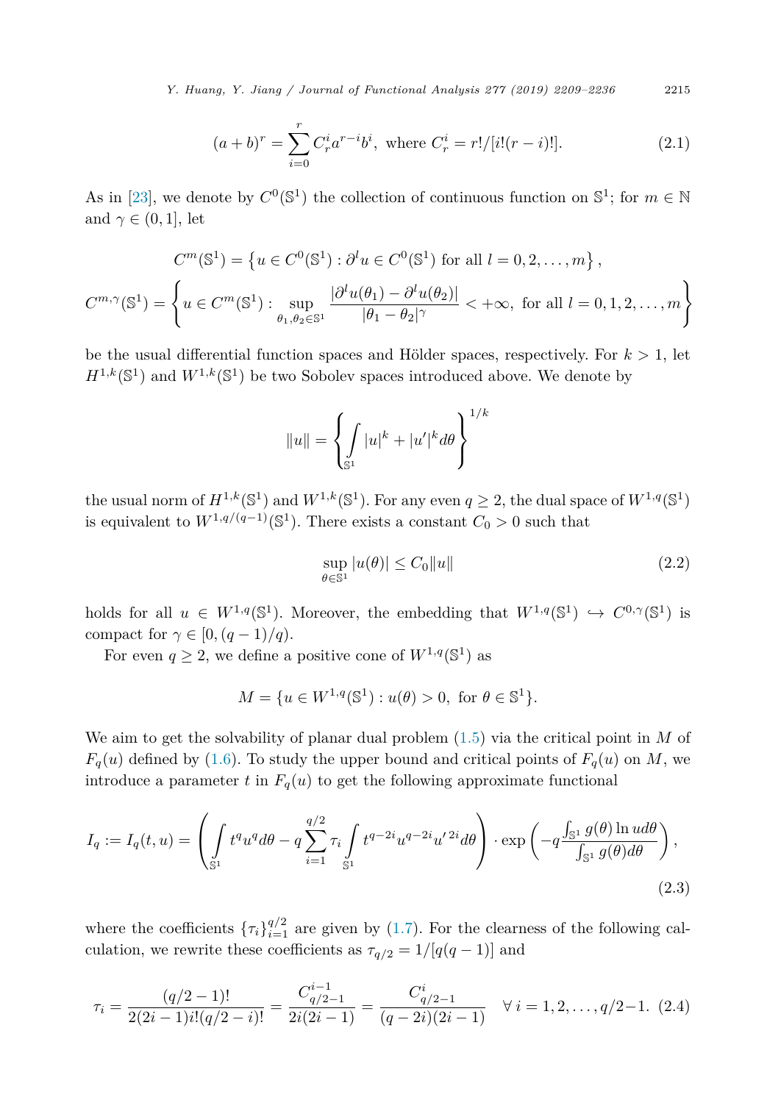<span id="page-6-0"></span>*Y. Huang, Y. Jiang / Journal of Functional Analysis 277 (2019) 2209–2236* 2215

$$
(a+b)^{r} = \sum_{i=0}^{r} C_{r}^{i} a^{r-i} b^{i}, \text{ where } C_{r}^{i} = r!/[i!(r-i)!].
$$
 (2.1)

As in [\[23\]](#page-25-0), we denote by  $C^0(\mathbb{S}^1)$  the collection of continuous function on  $\mathbb{S}^1$ ; for  $m \in \mathbb{N}$ and  $\gamma \in (0, 1]$ , let

$$
C^m(\mathbb{S}^1) = \left\{ u \in C^0(\mathbb{S}^1) : \partial^l u \in C^0(\mathbb{S}^1) \text{ for all } l = 0, 2, \dots, m \right\},\
$$

$$
C^{m,\gamma}(\mathbb{S}^1) = \left\{ u \in C^m(\mathbb{S}^1) : \sup_{\theta_1, \theta_2 \in \mathbb{S}^1} \frac{|\partial^l u(\theta_1) - \partial^l u(\theta_2)|}{|\theta_1 - \theta_2|^\gamma} < +\infty, \text{ for all } l = 0, 1, 2, \dots, m \right\}
$$

be the usual differential function spaces and Hölder spaces, respectively. For *k >* 1, let  $H^{1,k}(\mathbb{S}^1)$  and  $W^{1,k}(\mathbb{S}^1)$  be two Sobolev spaces introduced above. We denote by

$$
||u|| = \left\{ \int_{\mathbb{S}^1} |u|^k + |u'|^k d\theta \right\}^{1/k}
$$

the usual norm of  $H^{1,k}(\mathbb{S}^1)$  and  $W^{1,k}(\mathbb{S}^1)$ . For any even  $q \geq 2$ , the dual space of  $W^{1,q}(\mathbb{S}^1)$ is equivalent to  $W^{1,q/(q-1)}(\mathbb{S}^1)$ . There exists a constant  $C_0 > 0$  such that

$$
\sup_{\theta \in \mathbb{S}^1} |u(\theta)| \le C_0 \|u\| \tag{2.2}
$$

holds for all  $u \in W^{1,q}(\mathbb{S}^1)$ . Moreover, the embedding that  $W^{1,q}(\mathbb{S}^1) \hookrightarrow C^{0,\gamma}(\mathbb{S}^1)$  is compact for  $\gamma \in [0, (q-1)/q)$ .

For even  $q \geq 2$ , we define a positive cone of  $W^{1,q}(\mathbb{S}^1)$  as

$$
M = \{ u \in W^{1,q}(\mathbb{S}^1) : u(\theta) > 0, \text{ for } \theta \in \mathbb{S}^1 \}.
$$

We aim to get the solvability of planar dual problem [\(1.5\)](#page-3-0) via the critical point in *M* of  $F_q(u)$  defined by [\(1.6\)](#page-3-0). To study the upper bound and critical points of  $F_q(u)$  on *M*, we introduce a parameter  $t$  in  $F_q(u)$  to get the following approximate functional

$$
I_q := I_q(t, u) = \left( \int_{\mathbb{S}^1} t^q u^q d\theta - q \sum_{i=1}^{q/2} \tau_i \int_{\mathbb{S}^1} t^{q-2i} u^{q-2i} u'^{2i} d\theta \right) \cdot \exp\left( -q \frac{\int_{\mathbb{S}^1} g(\theta) \ln u d\theta}{\int_{\mathbb{S}^1} g(\theta) d\theta} \right),
$$
\n(2.3)

where the coefficients  $\{\tau_i\}_{i=1}^{q/2}$  are given by [\(1.7\)](#page-3-0). For the clearness of the following calculation, we rewrite these coefficients as  $\tau_{q/2} = 1/[q(q-1)]$  and

$$
\tau_i = \frac{(q/2 - 1)!}{2(2i - 1)i!(q/2 - i)!} = \frac{C_{q/2-1}^{i-1}}{2i(2i - 1)} = \frac{C_{q/2-1}^i}{(q - 2i)(2i - 1)} \quad \forall \ i = 1, 2, \dots, q/2 - 1. \tag{2.4}
$$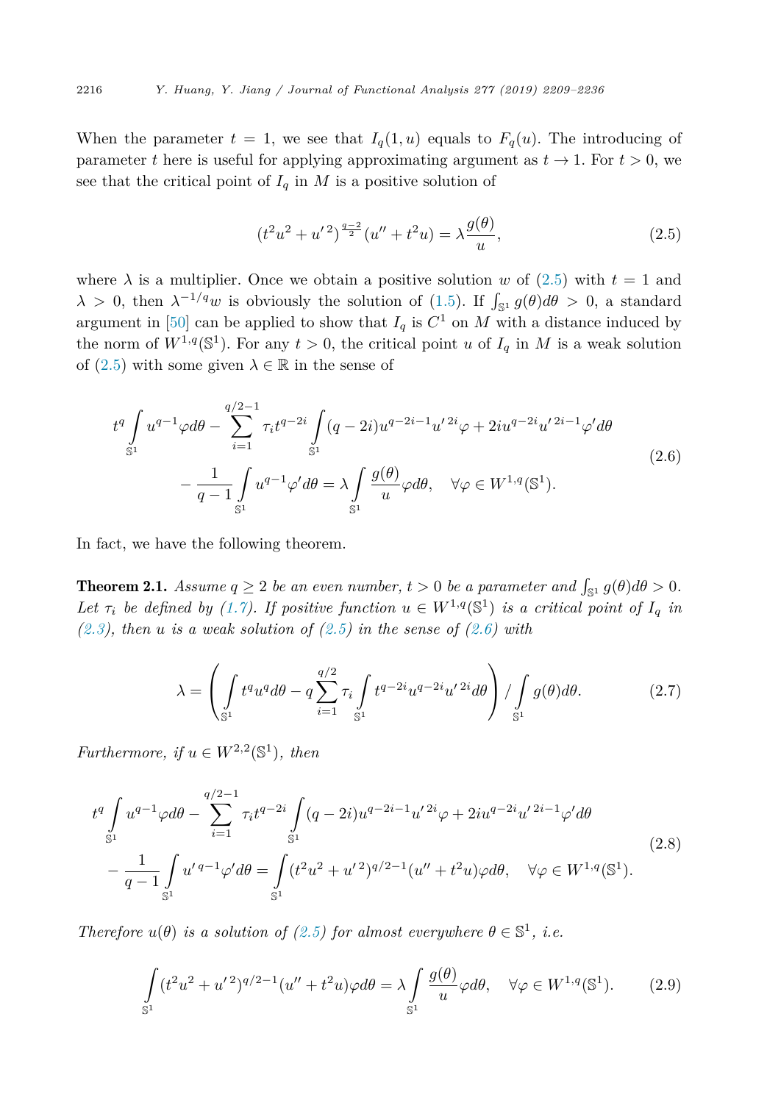When the parameter  $t = 1$ , we see that  $I_q(1, u)$  equals to  $F_q(u)$ . The introducing of parameter *t* here is useful for applying approximating argument as  $t \to 1$ . For  $t > 0$ , we see that the critical point of  $I_q$  in  $M$  is a positive solution of

$$
(t2u2 + u'2) \frac{q-2}{2}(u'' + t2u) = \lambda \frac{g(\theta)}{u},
$$
\n(2.5)

where  $\lambda$  is a multiplier. Once we obtain a positive solution *w* of (2.5) with  $t = 1$  and  $\lambda > 0$ , then  $\lambda^{-1/q}w$  is obviously the solution of [\(1.5\)](#page-3-0). If  $\int_{\mathbb{S}^1} g(\theta) d\theta > 0$ , a standard argument in [\[50\]](#page-26-0) can be applied to show that  $I_q$  is  $C^1$  on  $M$  with a distance induced by the norm of  $W^{1,q}(\mathbb{S}^1)$ . For any  $t > 0$ , the critical point *u* of  $I_q$  in *M* is a weak solution of  $(2.5)$  with some given  $\lambda \in \mathbb{R}$  in the sense of

$$
t^{q} \int_{\mathbb{S}^{1}} u^{q-1} \varphi d\theta - \sum_{i=1}^{q/2-1} \tau_{i} t^{q-2i} \int_{\mathbb{S}^{1}} (q-2i) u^{q-2i-1} u'^{2i} \varphi + 2i u^{q-2i} u'^{2i-1} \varphi' d\theta
$$
  

$$
- \frac{1}{q-1} \int_{\mathbb{S}^{1}} u^{q-1} \varphi' d\theta = \lambda \int_{\mathbb{S}^{1}} \frac{g(\theta)}{u} \varphi d\theta, \quad \forall \varphi \in W^{1,q}(\mathbb{S}^{1}).
$$
 (2.6)

In fact, we have the following theorem.

**Theorem 2.1.** *Assume*  $q \geq 2$  *be an even number*,  $t > 0$  *be a parameter and*  $\int_{\mathbb{S}^1} g(\theta) d\theta > 0$ . Let  $\tau_i$  be defined by [\(1.7\)](#page-3-0). If positive function  $u \in W^{1,q}(\mathbb{S}^1)$  is a critical point of  $I_q$  in *[\(2.3\)](#page-6-0), then u is a weak solution of (2.5) in the sense of (2.6) with*

$$
\lambda = \left( \int_{\mathbb{S}^1} t^q u^q d\theta - q \sum_{i=1}^{q/2} \tau_i \int_{\mathbb{S}^1} t^{q-2i} u^{q-2i} u'^{2i} d\theta \right) / \int_{\mathbb{S}^1} g(\theta) d\theta.
$$
 (2.7)

*Furthermore, if*  $u \in W^{2,2}(\mathbb{S}^1)$ *, then* 

$$
t^{q} \int_{\mathbb{S}^{1}} u^{q-1} \varphi d\theta - \sum_{i=1}^{q/2-1} \tau_{i} t^{q-2i} \int_{\mathbb{S}^{1}} (q-2i) u^{q-2i-1} u'^{2i} \varphi + 2i u^{q-2i} u'^{2i-1} \varphi' d\theta
$$
  
 
$$
- \frac{1}{q-1} \int_{\mathbb{S}^{1}} u'^{q-1} \varphi' d\theta = \int_{\mathbb{S}^{1}} (t^{2} u^{2} + u'^{2})^{q/2-1} (u'' + t^{2} u) \varphi d\theta, \quad \forall \varphi \in W^{1,q}(\mathbb{S}^{1}).
$$
 (2.8)

*Therefore*  $u(\theta)$  *is a solution of* (2.5) *for almost everywhere*  $\theta \in \mathbb{S}^1$ *, i.e.* 

$$
\int_{\mathbb{S}^1} (t^2 u^2 + u'^2)^{q/2 - 1} (u'' + t^2 u) \varphi d\theta = \lambda \int_{\mathbb{S}^1} \frac{g(\theta)}{u} \varphi d\theta, \quad \forall \varphi \in W^{1,q}(\mathbb{S}^1). \tag{2.9}
$$

<span id="page-7-0"></span>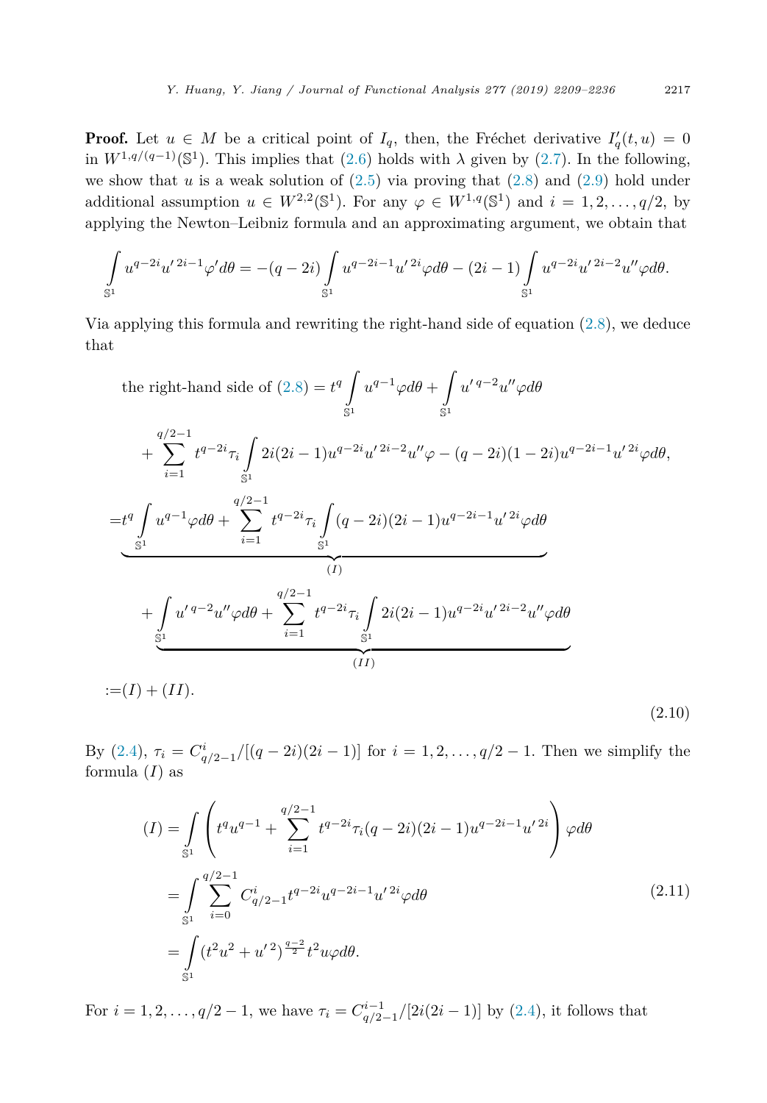<span id="page-8-0"></span>**Proof.** Let  $u \in M$  be a critical point of  $I_q$ , then, the Fréchet derivative  $I_q'(t, u) = 0$ in  $W^{1,q/(q-1)}(\mathbb{S}^1)$ . This implies that [\(2.6\)](#page-7-0) holds with  $\lambda$  given by [\(2.7\)](#page-7-0). In the following, we show that  $u$  is a weak solution of  $(2.5)$  via proving that  $(2.8)$  and  $(2.9)$  hold under additional assumption  $u \in W^{2,2}(\mathbb{S}^1)$ . For any  $\varphi \in W^{1,q}(\mathbb{S}^1)$  and  $i = 1, 2, \ldots, q/2$ , by applying the Newton–Leibniz formula and an approximating argument, we obtain that

$$
\int_{\mathbb{S}^1} u^{q-2i} u'^{2i-1} \varphi' d\theta = -(q-2i) \int_{\mathbb{S}^1} u^{q-2i-1} u'^{2i} \varphi d\theta - (2i-1) \int_{\mathbb{S}^1} u^{q-2i} u'^{2i-2} u'' \varphi d\theta.
$$

Via applying this formula and rewriting the right-hand side of equation [\(2.8\)](#page-7-0), we deduce that

the right-hand side of (2.8) = 
$$
t^q \int_{S^1} u^{q-1} \varphi d\theta + \int_{S^1} u'^{q-2} u'' \varphi d\theta
$$
  
+  $\sum_{i=1}^{q/2-1} t^{q-2i} \tau_i \int_{S^1} 2i(2i-1) u^{q-2i} u'^{2i-2} u'' \varphi - (q-2i)(1-2i) u^{q-2i-1} u'^{2i} \varphi d\theta,$   
=  $t^q \int_{S^1} u^{q-1} \varphi d\theta + \sum_{i=1}^{q/2-1} t^{q-2i} \tau_i \int_{S^1} (q-2i)(2i-1) u^{q-2i-1} u'^{2i} \varphi d\theta$   
(*I*)  
+  $\int_{S^1} u'^{q-2} u'' \varphi d\theta + \sum_{i=1}^{q/2-1} t^{q-2i} \tau_i \int_{S^1} 2i(2i-1) u^{q-2i} u'^{2i-2} u'' \varphi d\theta$   
:= $(I)$  +  $(II)$ .

By  $(2.4)$ ,  $\tau_i = C^i_{q/2-1}/[(q-2i)(2i-1)]$  for  $i = 1, 2, ..., q/2-1$ . Then we simplify the formula  $(I)$  as

$$
(I) = \int_{S^1} \left( t^q u^{q-1} + \sum_{i=1}^{q/2-1} t^{q-2i} \tau_i (q-2i)(2i-1) u^{q-2i-1} u'^{2i} \right) \varphi d\theta
$$
  
= 
$$
\int_{S^1} \sum_{i=0}^{q/2-1} C_{q/2-1}^i t^{q-2i} u^{q-2i-1} u'^{2i} \varphi d\theta
$$
  
= 
$$
\int_{S^1} (t^2 u^2 + u'^2)^{\frac{q-2}{2}} t^2 u \varphi d\theta.
$$
 (2.11)

For  $i = 1, 2, ..., q/2 - 1$ , we have  $\tau_i = C_{q/2-1}^{i-1}/[2i(2i-1)]$  by [\(2.4\)](#page-6-0), it follows that

(2.10)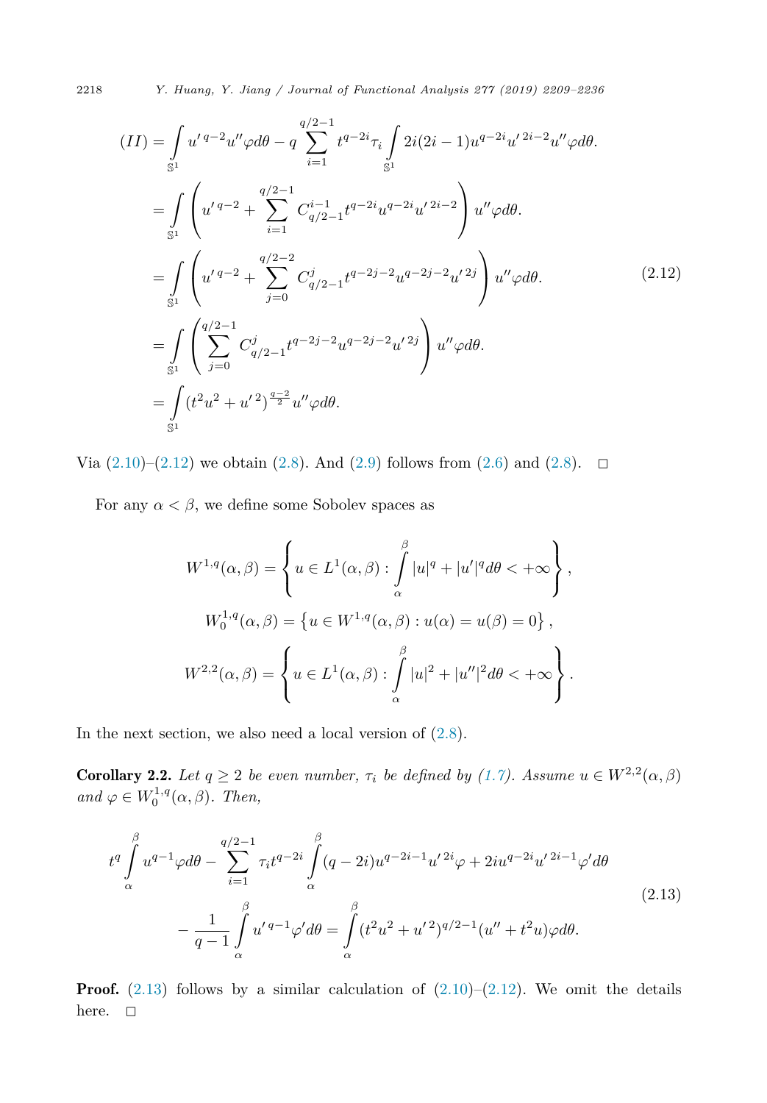<span id="page-9-0"></span>2218 *Y. Huang, Y. Jiang / Journal of Functional Analysis 277 (2019) 2209–2236*

$$
(II) = \int_{S^1} u' q^{-2} u'' \varphi d\theta - q \sum_{i=1}^{q/2-1} t^{q-2i} \tau_i \int_{S^1} 2i(2i-1) u^{q-2i} u'^{2i-2} u'' \varphi d\theta.
$$
  
\n
$$
= \int_{S^1} \left( u' q^{-2} + \sum_{i=1}^{q/2-1} C_{q/2-1}^{i-1} t^{q-2i} u^{q-2i} u'^{2i-2} \right) u'' \varphi d\theta.
$$
  
\n
$$
= \int_{S^1} \left( u' q^{-2} + \sum_{j=0}^{q/2-2} C_{q/2-1}^j t^{q-2j-2} u^{q-2j-2} u'^{2j} \right) u'' \varphi d\theta.
$$
  
\n
$$
= \int_{S^1} \left( \sum_{j=0}^{q/2-1} C_{q/2-1}^j t^{q-2j-2} u^{q-2j-2} u'^{2j} \right) u'' \varphi d\theta.
$$
  
\n
$$
= \int_{S^1} (t^2 u^2 + u'^2)^{\frac{q-2}{2}} u'' \varphi d\theta.
$$
  
\n(2.12)

Via  $(2.10)–(2.12)$  $(2.10)–(2.12)$  we obtain  $(2.8)$ . And  $(2.9)$  follows from  $(2.6)$  and  $(2.8)$ .  $\Box$ 

For any  $\alpha < \beta$ , we define some Sobolev spaces as

$$
W^{1,q}(\alpha,\beta) = \left\{ u \in L^1(\alpha,\beta) : \int_{\alpha}^{\beta} |u|^q + |u'|^q d\theta < +\infty \right\},
$$
  

$$
W_0^{1,q}(\alpha,\beta) = \left\{ u \in W^{1,q}(\alpha,\beta) : u(\alpha) = u(\beta) = 0 \right\},
$$
  

$$
W^{2,2}(\alpha,\beta) = \left\{ u \in L^1(\alpha,\beta) : \int_{\alpha}^{\beta} |u|^2 + |u''|^2 d\theta < +\infty \right\}.
$$

In the next section, we also need a local version of [\(2.8\)](#page-7-0).

**Corollary 2.2.** Let  $q \geq 2$  be even number,  $\tau_i$  be defined by [\(1.7\)](#page-3-0). Assume  $u \in W^{2,2}(\alpha,\beta)$  $and \varphi \in W_0^{1,q}(\alpha, \beta)$ . *Then,* 

$$
t^{q} \int_{\alpha}^{\beta} u^{q-1} \varphi d\theta - \sum_{i=1}^{q/2-1} \tau_{i} t^{q-2i} \int_{\alpha}^{\beta} (q-2i) u^{q-2i-1} u'^{2i} \varphi + 2i u^{q-2i} u'^{2i-1} \varphi' d\theta
$$
\n
$$
- \frac{1}{q-1} \int_{\alpha}^{\beta} u'^{q-1} \varphi' d\theta = \int_{\alpha}^{\beta} (t^{2} u^{2} + u'^{2})^{q/2-1} (u'' + t^{2} u) \varphi d\theta.
$$
\n(2.13)

**Proof.** (2.13) follows by a similar calculation of  $(2.10)$ –(2.12). We omit the details here.  $\square$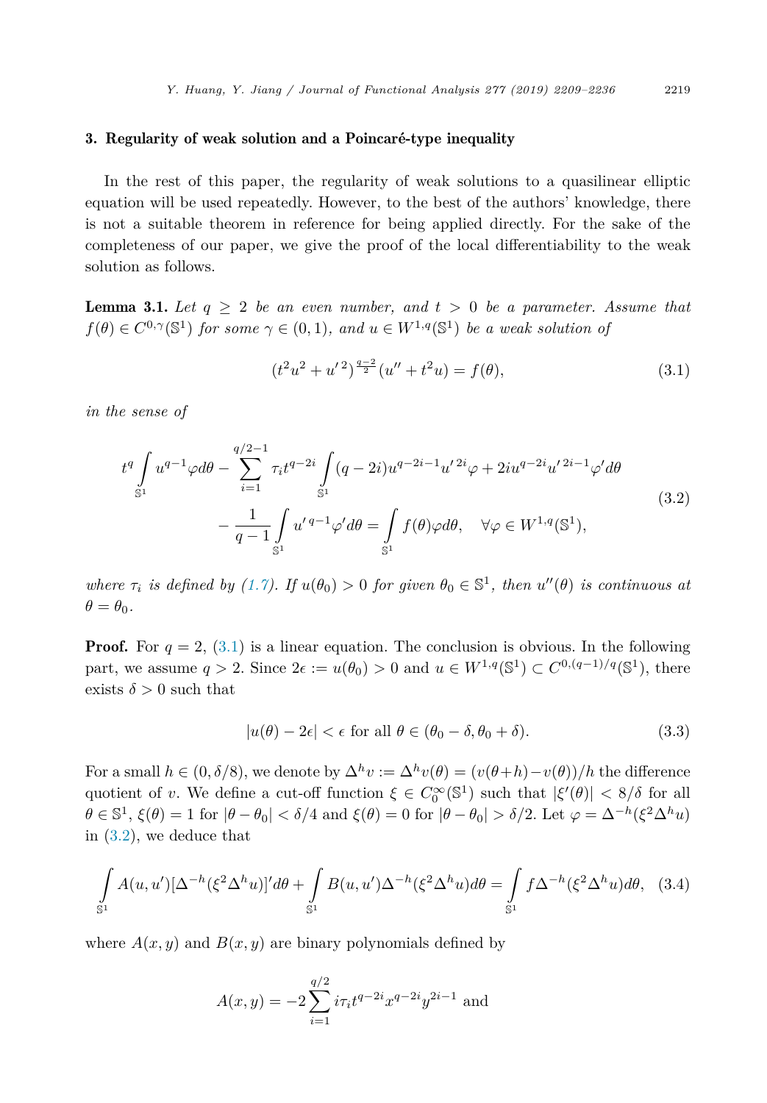#### <span id="page-10-0"></span>3. Regularity of weak solution and a Poincaré-type inequality

In the rest of this paper, the regularity of weak solutions to a quasilinear elliptic equation will be used repeatedly. However, to the best of the authors' knowledge, there is not a suitable theorem in reference for being applied directly. For the sake of the completeness of our paper, we give the proof of the local differentiability to the weak solution as follows.

**Lemma 3.1.** Let  $q \geq 2$  be an even number, and  $t > 0$  be a parameter. Assume that  $f(\theta) \in C^{0,\gamma}(\mathbb{S}^1)$  *for some*  $\gamma \in (0,1)$ *,* and  $u \in W^{1,q}(\mathbb{S}^1)$  *be a weak solution of* 

$$
(t2u2 + u'2)\frac{q-2}{2}(u'' + t2u) = f(\theta),
$$
\n(3.1)

*in the sense of*

$$
t^{q} \int_{\mathbb{S}^{1}} u^{q-1} \varphi d\theta - \sum_{i=1}^{q/2-1} \tau_{i} t^{q-2i} \int_{\mathbb{S}^{1}} (q-2i) u^{q-2i-1} u'^{2i} \varphi + 2i u^{q-2i} u'^{2i-1} \varphi' d\theta
$$
  

$$
- \frac{1}{q-1} \int_{\mathbb{S}^{1}} u'^{q-1} \varphi' d\theta = \int_{\mathbb{S}^{1}} f(\theta) \varphi d\theta, \quad \forall \varphi \in W^{1,q}(\mathbb{S}^{1}),
$$
 (3.2)

where  $\tau_i$  is defined by [\(1.7\)](#page-3-0). If  $u(\theta_0) > 0$  for given  $\theta_0 \in \mathbb{S}^1$ , then  $u''(\theta)$  is continuous at  $\theta = \theta_0$ .

**Proof.** For  $q = 2$ , (3.1) is a linear equation. The conclusion is obvious. In the following part, we assume  $q > 2$ . Since  $2\epsilon := u(\theta_0) > 0$  and  $u \in W^{1,q}(\mathbb{S}^1) \subset C^{0,(q-1)/q}(\mathbb{S}^1)$ , there exists  $\delta > 0$  such that

$$
|u(\theta) - 2\epsilon| < \epsilon \text{ for all } \theta \in (\theta_0 - \delta, \theta_0 + \delta). \tag{3.3}
$$

For a small  $h \in (0, \delta/8)$ , we denote by  $\Delta^h v := \Delta^h v(\theta) = (v(\theta + h) - v(\theta))/h$  the difference quotient of *v*. We define a cut-off function  $\xi \in C_0^{\infty}(\mathbb{S}^1)$  such that  $|\xi'(\theta)| < 8/\delta$  for all  $\theta \in \mathbb{S}^1$ ,  $\xi(\theta) = 1$  for  $|\theta - \theta_0| < \delta/4$  and  $\xi(\theta) = 0$  for  $|\theta - \theta_0| > \delta/2$ . Let  $\varphi = \Delta^{-h}(\xi^2 \Delta^h u)$ in (3.2), we deduce that

$$
\int_{\mathbb{S}^1} A(u, u') [\Delta^{-h} (\xi^2 \Delta^h u)]' d\theta + \int_{\mathbb{S}^1} B(u, u') \Delta^{-h} (\xi^2 \Delta^h u) d\theta = \int_{\mathbb{S}^1} f \Delta^{-h} (\xi^2 \Delta^h u) d\theta, \quad (3.4)
$$

where  $A(x, y)$  and  $B(x, y)$  are binary polynomials defined by

$$
A(x,y) = -2\sum_{i=1}^{q/2} i\tau_i t^{q-2i} x^{q-2i} y^{2i-1}
$$
 and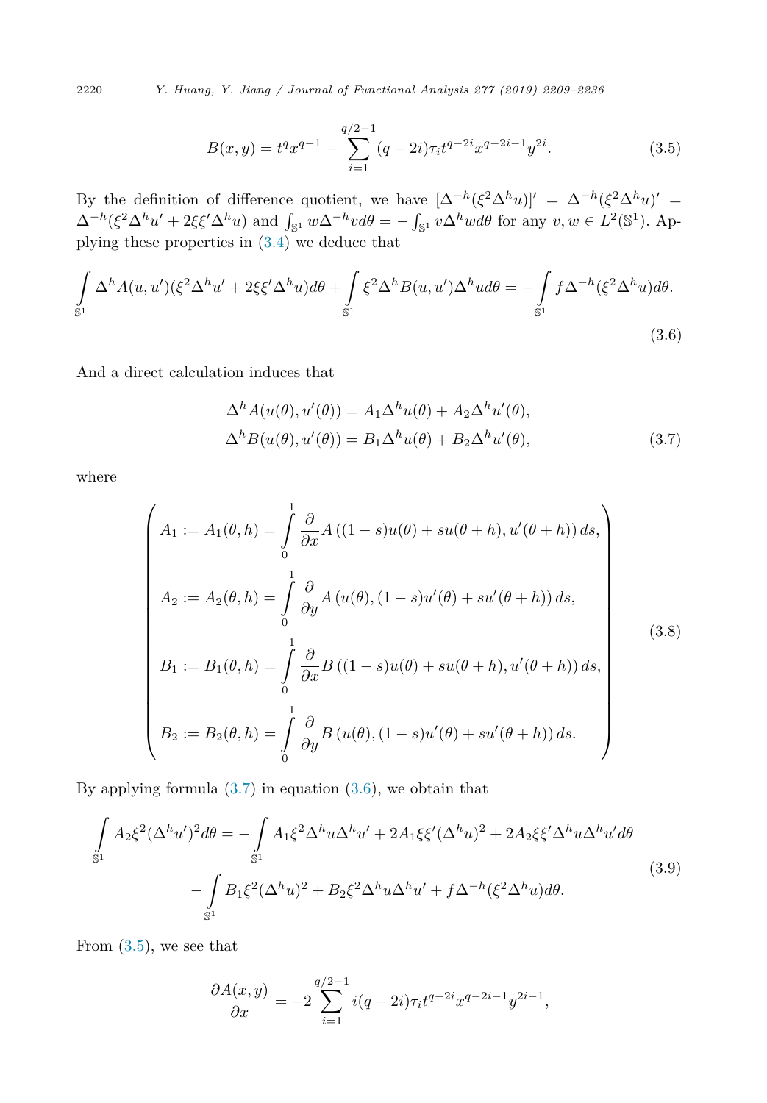<span id="page-11-0"></span>2220 *Y. Huang, Y. Jiang / Journal of Functional Analysis 277 (2019) 2209–2236*

$$
B(x,y) = t^q x^{q-1} - \sum_{i=1}^{q/2-1} (q-2i)\tau_i t^{q-2i} x^{q-2i-1} y^{2i}.
$$
 (3.5)

By the definition of difference quotient, we have  $[\Delta^{-h}(\xi^2\Delta^h u)]' = \Delta^{-h}(\xi^2\Delta^h u)' =$  $\Delta^{-h}(\xi^2 \Delta^h u' + 2\xi \xi' \Delta^h u)$  and  $\int_{\mathbb{S}^1} w \Delta^{-h} v d\theta = -\int_{\mathbb{S}^1} v \Delta^h w d\theta$  for any  $v, w \in L^2(\mathbb{S}^1)$ . Applying these properties in [\(3.4\)](#page-10-0) we deduce that

$$
\int_{\mathbb{S}^1} \Delta^h A(u, u') (\xi^2 \Delta^h u' + 2\xi \xi' \Delta^h u) d\theta + \int_{\mathbb{S}^1} \xi^2 \Delta^h B(u, u') \Delta^h u d\theta = -\int_{\mathbb{S}^1} f \Delta^{-h} (\xi^2 \Delta^h u) d\theta.
$$
\n(3.6)

And a direct calculation induces that

$$
\Delta^h A(u(\theta), u'(\theta)) = A_1 \Delta^h u(\theta) + A_2 \Delta^h u'(\theta),
$$
  

$$
\Delta^h B(u(\theta), u'(\theta)) = B_1 \Delta^h u(\theta) + B_2 \Delta^h u'(\theta),
$$
 (3.7)

where

$$
\begin{cases}\nA_1 := A_1(\theta, h) = \int_0^1 \frac{\partial}{\partial x} A((1 - s)u(\theta) + su(\theta + h), u'(\theta + h)) ds, \\
A_2 := A_2(\theta, h) = \int_0^1 \frac{\partial}{\partial y} A(u(\theta), (1 - s)u'(\theta) + su'(\theta + h)) ds, \\
B_1 := B_1(\theta, h) = \int_0^1 \frac{\partial}{\partial x} B((1 - s)u(\theta) + su(\theta + h), u'(\theta + h)) ds, \\
B_2 := B_2(\theta, h) = \int_0^1 \frac{\partial}{\partial y} B(u(\theta), (1 - s)u'(\theta) + su'(\theta + h)) ds.\n\end{cases}
$$
\n(3.8)

By applying formula  $(3.7)$  in equation  $(3.6)$ , we obtain that

$$
\int_{\mathbb{S}^1} A_2 \xi^2 (\Delta^h u')^2 d\theta = -\int_{\mathbb{S}^1} A_1 \xi^2 \Delta^h u \Delta^h u' + 2A_1 \xi \xi' (\Delta^h u)^2 + 2A_2 \xi \xi' \Delta^h u \Delta^h u' d\theta
$$
\n
$$
-\int_{\mathbb{S}^1} B_1 \xi^2 (\Delta^h u)^2 + B_2 \xi^2 \Delta^h u \Delta^h u' + f \Delta^{-h} (\xi^2 \Delta^h u) d\theta.
$$
\n(3.9)

From  $(3.5)$ , we see that

$$
\frac{\partial A(x,y)}{\partial x} = -2 \sum_{i=1}^{q/2-1} i(q-2i) \tau_i t^{q-2i} x^{q-2i-1} y^{2i-1},
$$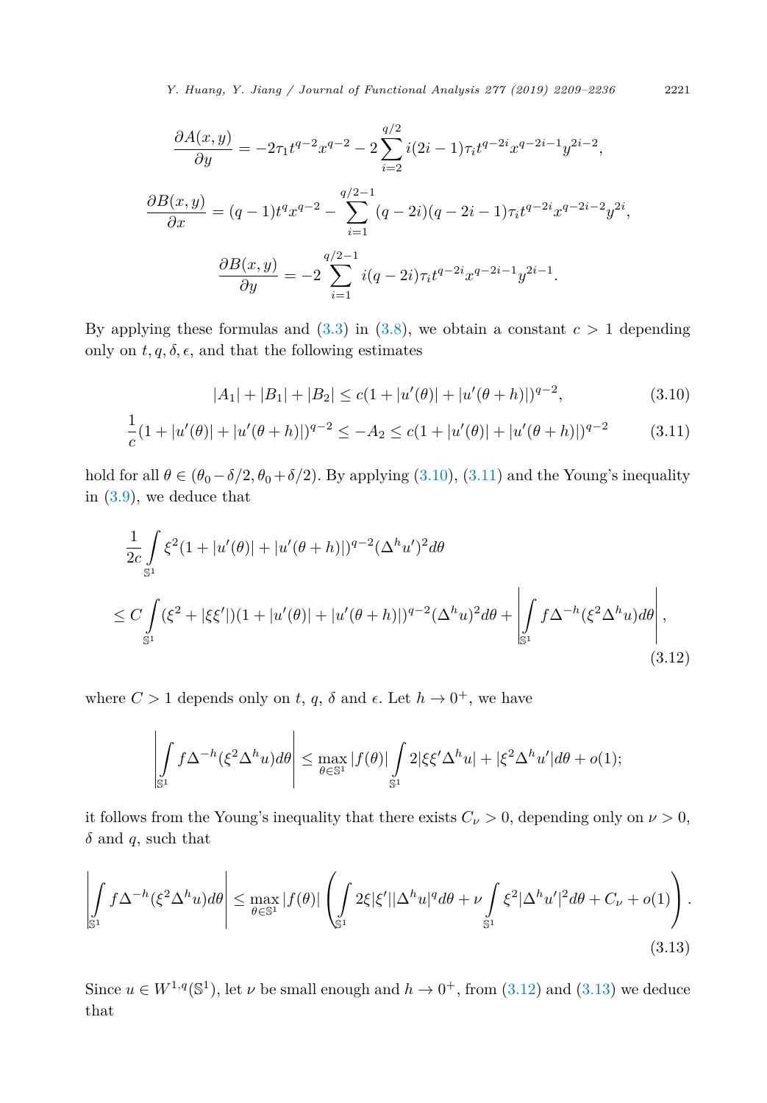*Y. Huang, Y. Jiang / Journal of Functional Analysis 277 (2019) 2209–2236* 2221

$$
\frac{\partial A(x,y)}{\partial y} = -2\tau_1 t^{q-2} x^{q-2} - 2 \sum_{i=2}^{q/2} i(2i-1)\tau_i t^{q-2i} x^{q-2i-1} y^{2i-2},
$$
  

$$
\frac{\partial B(x,y)}{\partial x} = (q-1)t^q x^{q-2} - \sum_{i=1}^{q/2-1} (q-2i)(q-2i-1)\tau_i t^{q-2i} x^{q-2i-2} y^{2i},
$$
  

$$
\frac{\partial B(x,y)}{\partial y} = -2 \sum_{i=1}^{q/2-1} i(q-2i)\tau_i t^{q-2i} x^{q-2i-1} y^{2i-1}.
$$

By applying these formulas and  $(3.3)$  in  $(3.8)$ , we obtain a constant  $c > 1$  depending only on  $t, q, \delta, \epsilon$ , and that the following estimates

$$
|A_1| + |B_1| + |B_2| \le c(1 + |u'(\theta)| + |u'(\theta + h)|)^{q-2},
$$
\n(3.10)

$$
\frac{1}{c}(1+|u'(\theta)|+|u'(\theta+h)|)^{q-2} \le -A_2 \le c(1+|u'(\theta)|+|u'(\theta+h)|)^{q-2}
$$
 (3.11)

hold for all  $\theta \in (\theta_0 - \delta/2, \theta_0 + \delta/2)$ . By applying (3.10), (3.11) and the Young's inequality in [\(3.9\)](#page-11-0), we deduce that

$$
\frac{1}{2c} \int_{S^1} \xi^2 (1+|u'(\theta)|+|u'(\theta+h)|)^{q-2} (\Delta^h u')^2 d\theta
$$
\n
$$
\leq C \int_{S^1} (\xi^2+|\xi\xi'|)(1+|u'(\theta)|+|u'(\theta+h)|)^{q-2} (\Delta^h u)^2 d\theta + \left| \int_{S^1} f \Delta^{-h} (\xi^2 \Delta^h u) d\theta \right|,
$$
\n(3.12)

where  $C > 1$  depends only on *t*, *q*,  $\delta$  and  $\epsilon$ . Let  $h \to 0^+$ , we have

$$
\left|\int\limits_{\mathbb{S}^1} f\Delta^{-h}(\xi^2\Delta^h u)d\theta\right|\leq \max_{\theta\in \mathbb{S}^1} |f(\theta)|\int\limits_{\mathbb{S}^1} 2|\xi\xi'\Delta^h u|+|\xi^2\Delta^h u'|d\theta+o(1);
$$

it follows from the Young's inequality that there exists  $C_{\nu} > 0$ , depending only on  $\nu > 0$ , *δ* and *q*, such that

$$
\left| \int_{\mathbb{S}^1} f \Delta^{-h} (\xi^2 \Delta^h u) d\theta \right| \leq \max_{\theta \in \mathbb{S}^1} |f(\theta)| \left( \int_{\mathbb{S}^1} 2\xi |\xi'||\Delta^h u|^q d\theta + \nu \int_{\mathbb{S}^1} \xi^2 |\Delta^h u'|^2 d\theta + C_{\nu} + o(1) \right). \tag{3.13}
$$

Since  $u \in W^{1,q}(\mathbb{S}^1)$ , let  $\nu$  be small enough and  $h \to 0^+$ , from (3.12) and (3.13) we deduce that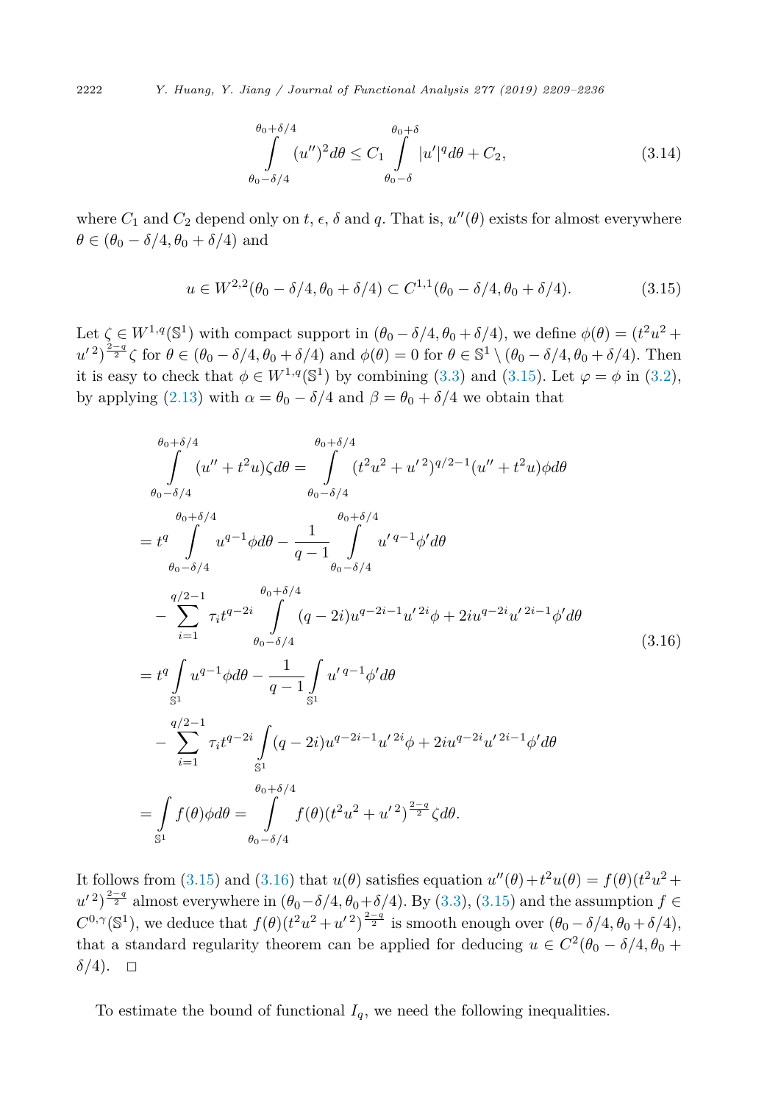$$
\int_{\theta_0 - \delta/4}^{\theta_0 + \delta/4} (u'')^2 d\theta \le C_1 \int_{\theta_0 - \delta}^{\theta_0 + \delta} |u'|^q d\theta + C_2,
$$
\n(3.14)

where  $C_1$  and  $C_2$  depend only on  $t, \epsilon, \delta$  and  $q$ . That is,  $u''(\theta)$  exists for almost everywhere  $\theta \in (\theta_0 - \delta/4, \theta_0 + \delta/4)$  and

$$
u \in W^{2,2}(\theta_0 - \delta/4, \theta_0 + \delta/4) \subset C^{1,1}(\theta_0 - \delta/4, \theta_0 + \delta/4). \tag{3.15}
$$

Let  $\zeta \in W^{1,q}(\mathbb{S}^1)$  with compact support in  $(\theta_0 - \delta/4, \theta_0 + \delta/4)$ , we define  $\phi(\theta) = (t^2u^2 +$  $u'^{2}$ <sup>2</sup> $\frac{2-q}{2}$ </sup> $\zeta$  for  $\theta \in (\theta_0 - \delta/4, \theta_0 + \delta/4)$  and  $\phi(\theta) = 0$  for  $\theta \in \mathbb{S}^1 \setminus (\theta_0 - \delta/4, \theta_0 + \delta/4)$ . Then it is easy to check that  $\phi \in W^{1,q}(\mathbb{S}^1)$  by combining [\(3.3\)](#page-10-0) and (3.15). Let  $\varphi = \phi$  in [\(3.2\)](#page-10-0), by applying [\(2.13\)](#page-9-0) with  $\alpha = \theta_0 - \delta/4$  and  $\beta = \theta_0 + \delta/4$  we obtain that

$$
\int_{\theta_{0}-\delta/4}^{\theta_{0}+\delta/4} \int_{\theta_{0}-\delta/4}^{\theta_{0}+\delta/4} (u'' + t^{2}u)\zeta d\theta = \int_{\theta_{0}-\delta/4}^{\theta_{0}+\delta/4} (t^{2}u^{2} + u'^{2})^{q/2-1} (u'' + t^{2}u)\phi d\theta
$$
\n
$$
= t^{q} \int_{\theta_{0}+\delta/4}^{\theta_{0}+\delta/4} u^{q-1}\phi d\theta - \frac{1}{q-1} \int_{\theta_{0}-\delta/4}^{\theta_{0}+\delta/4} u'^{q-1}\phi'd\theta
$$
\n
$$
- \sum_{i=1}^{q/2-1} \tau_{i}t^{q-2i} \int_{\theta_{0}-\delta/4}^{\theta_{0}+\delta/4} (q-2i)u^{q-2i-1}u'^{2i}\phi + 2iu^{q-2i}u'^{2i-1}\phi'd\theta
$$
\n
$$
= t^{q} \int_{\mathbb{S}^{1}} u^{q-1}\phi d\theta - \frac{1}{q-1} \int_{\mathbb{S}^{1}} u'^{q-1}\phi'd\theta
$$
\n
$$
- \sum_{i=1}^{q/2-1} \tau_{i}t^{q-2i} \int_{\mathbb{S}^{1}} (q-2i)u^{q-2i-1}u'^{2i}\phi + 2iu^{q-2i}u'^{2i-1}\phi'd\theta
$$
\n
$$
= \int_{\theta_{0}+\delta/4}^{\theta_{0}+\delta/4} \theta_{\theta_{0}-\delta/4} f(\theta)(t^{2}u^{2} + u'^{2})^{\frac{2-q}{2}}\zeta d\theta.
$$
\n(3.16)

It follows from (3.15) and (3.16) that  $u(\theta)$  satisfies equation  $u''(\theta) + t^2 u(\theta) = f(\theta)(t^2 u^2 +$  $(u'^2)^{\frac{2-q}{2}}$  almost everywhere in  $(\theta_0-\delta/4, \theta_0+\delta/4)$ . By [\(3.3\)](#page-10-0), (3.15) and the assumption  $f \in$  $C^{0,\gamma}(\mathbb{S}^1)$ , we deduce that  $f(\theta)(t^2u^2 + u'^2)^{\frac{2-q}{2}}$  is smooth enough over  $(\theta_0 - \delta/4, \theta_0 + \delta/4)$ , that a standard regularity theorem can be applied for deducing  $u \in C^2(\theta_0 - \delta/4, \theta_0 + \delta/4)$  $\delta/4$ ).  $\Box$ 

To estimate the bound of functional  $I_q$ , we need the following inequalities.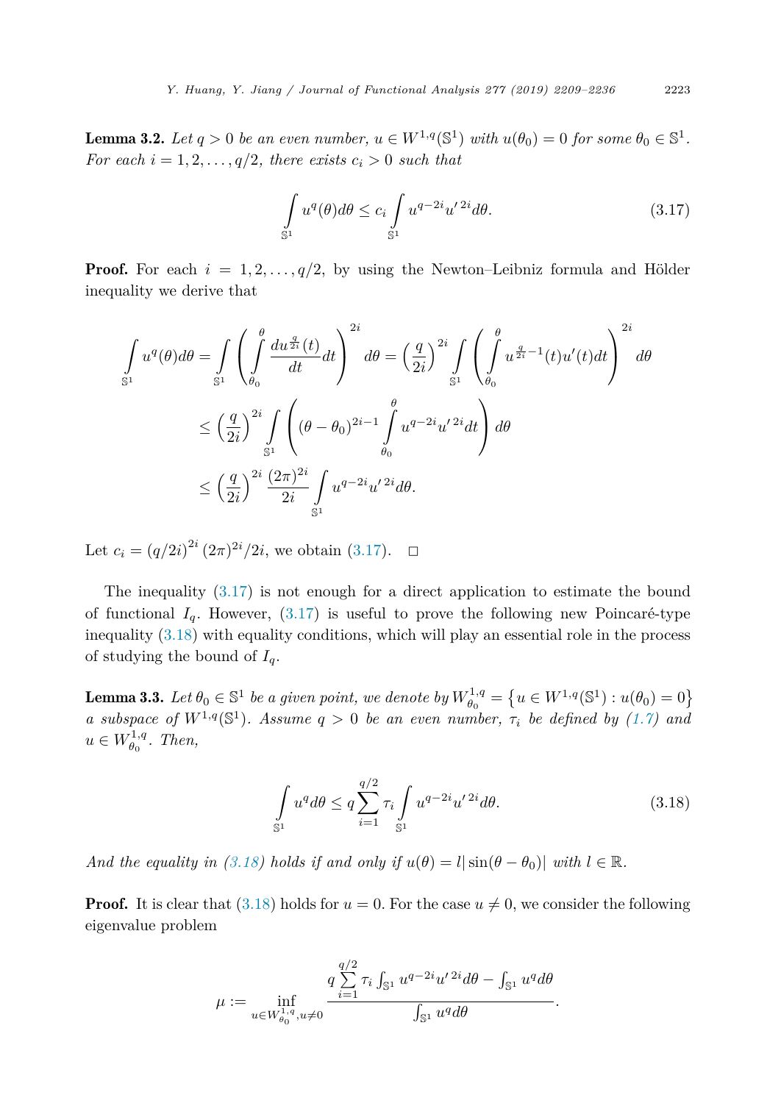<span id="page-14-0"></span>**Lemma 3.2.** *Let*  $q > 0$  *be an even number,*  $u \in W^{1,q}(\mathbb{S}^1)$  *with*  $u(\theta_0) = 0$  *for some*  $\theta_0 \in \mathbb{S}^1$ *. For each*  $i = 1, 2, \ldots, q/2$ *, there exists*  $c_i > 0$  *such that* 

$$
\int_{\mathbb{S}^1} u^q(\theta)d\theta \le c_i \int_{\mathbb{S}^1} u^{q-2i} u'^{2i} d\theta. \tag{3.17}
$$

**Proof.** For each  $i = 1, 2, \ldots, q/2$ , by using the Newton–Leibniz formula and Hölder inequality we derive that

$$
\int_{\mathbb{S}^1} u^q(\theta) d\theta = \int_{\mathbb{S}^1} \left( \int_{\theta_0}^{\theta} \frac{du^{\frac{q}{2i}}(t)}{dt} dt \right)^{2i} d\theta = \left( \frac{q}{2i} \right)^{2i} \int_{\mathbb{S}^1} \left( \int_{\theta_0}^{\theta} u^{\frac{q}{2i}-1}(t) u'(t) dt \right)^{2i} d\theta
$$
  

$$
\leq \left( \frac{q}{2i} \right)^{2i} \int_{\mathbb{S}^1} \left( (\theta - \theta_0)^{2i-1} \int_{\theta_0}^{\theta} u^{q-2i} u'^{2i} dt \right) d\theta
$$
  

$$
\leq \left( \frac{q}{2i} \right)^{2i} \frac{(2\pi)^{2i}}{2i} \int_{\mathbb{S}^1} u^{q-2i} u'^{2i} d\theta.
$$

Let  $c_i = (q/2i)^{2i} (2\pi)^{2i}/2i$ , we obtain (3.17).  $\Box$ 

The inequality (3.17) is not enough for a direct application to estimate the bound of functional  $I_q$ . However,  $(3.17)$  is useful to prove the following new Poincaré-type inequality (3.18) with equality conditions, which will play an essential role in the process of studying the bound of  $I_q$ .

**Lemma 3.3.** Let  $\theta_0 \in \mathbb{S}^1$  be a given point, we denote by  $W_{\theta_0}^{1,q} = \{u \in W^{1,q}(\mathbb{S}^1) : u(\theta_0) = 0\}$ *a subspace of*  $W^{1,q}(\mathbb{S}^1)$ *. Assume*  $q > 0$  *be an even number,*  $\tau_i$  *be defined by* [\(1.7\)](#page-3-0) *and*  $u \in W^{1,q}_{\theta_0}$ . *Then,* 

$$
\int_{\mathbb{S}^1} u^q d\theta \le q \sum_{i=1}^{q/2} \tau_i \int_{\mathbb{S}^1} u^{q-2i} u'^{2i} d\theta. \tag{3.18}
$$

*And* the equality in (3.18) holds if and only if  $u(\theta) = l |\sin(\theta - \theta_0)|$  with  $l \in \mathbb{R}$ .

**Proof.** It is clear that  $(3.18)$  holds for  $u = 0$ . For the case  $u \neq 0$ , we consider the following eigenvalue problem

$$
\mu := \inf_{u \in W_{\theta_0}^{1,q}, u \neq 0} \frac{q \sum_{i=1}^{q/2} \tau_i \int_{\mathbb{S}^1} u^{q-2i} u'^{2i} d\theta - \int_{\mathbb{S}^1} u^q d\theta}{\int_{\mathbb{S}^1} u^q d\theta}.
$$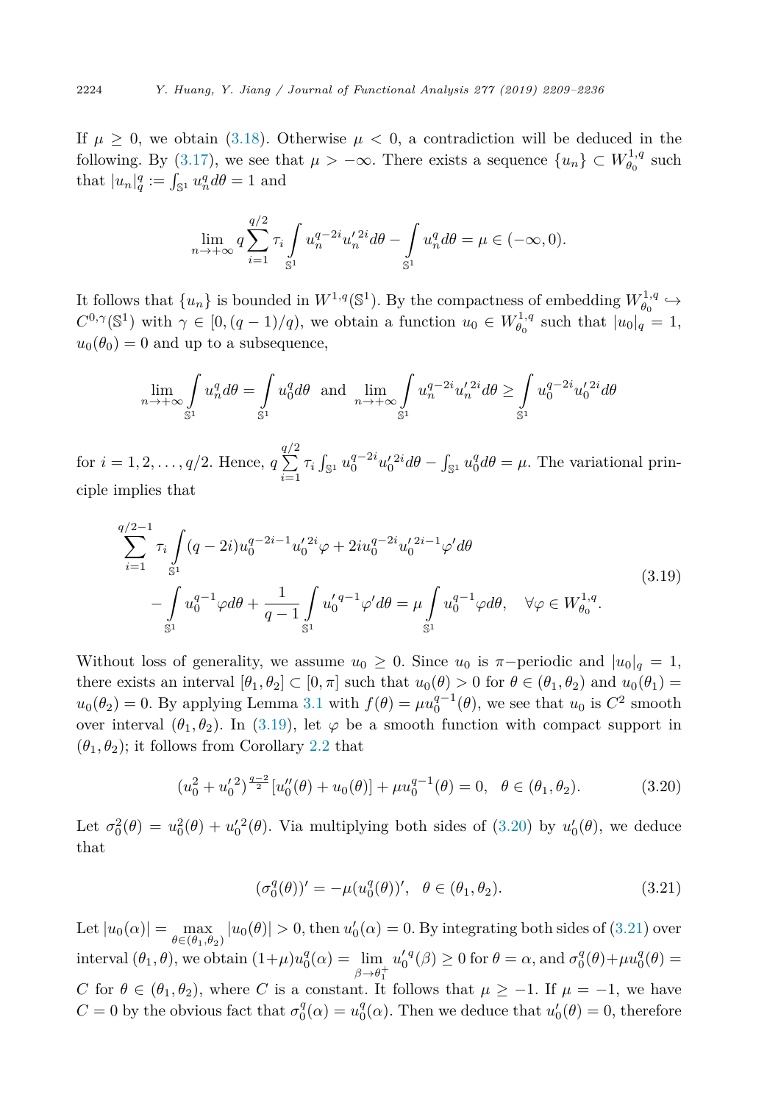If  $\mu \geq 0$ , we obtain [\(3.18\)](#page-14-0). Otherwise  $\mu < 0$ , a contradiction will be deduced in the following. By [\(3.17\)](#page-14-0), we see that  $\mu > -\infty$ . There exists a sequence  $\{u_n\} \subset W_{\theta_0}^{1,q}$  such that  $|u_n|_q^q := \int_{\mathbb{S}^1} u_n^q d\theta = 1$  and

$$
\lim_{n \to +\infty} q \sum_{i=1}^{q/2} \tau_i \int_{\mathbb{S}^1} u_n^{q-2i} u_n'^{2i} d\theta - \int_{\mathbb{S}^1} u_n^q d\theta = \mu \in (-\infty, 0).
$$

It follows that  $\{u_n\}$  is bounded in  $W^{1,q}(\mathbb{S}^1)$ . By the compactness of embedding  $W^{1,q}_{\theta_0} \hookrightarrow$  $C^{0,\gamma}(\mathbb{S}^1)$  with  $\gamma \in [0, (q-1)/q)$ , we obtain a function  $u_0 \in W_{\theta_0}^{1,q}$  such that  $|u_0|_q = 1$ ,  $u_0(\theta_0) = 0$  and up to a subsequence,

$$
\lim_{n \to +\infty} \int_{\mathbb{S}^1} u_n^q d\theta = \int_{\mathbb{S}^1} u_0^q d\theta \text{ and } \lim_{n \to +\infty} \int_{\mathbb{S}^1} u_n^{q-2i} u_n'^{2i} d\theta \ge \int_{\mathbb{S}^1} u_0^{q-2i} u_0'^{2i} d\theta
$$

for  $i = 1, 2, \ldots, q/2$ . Hence,  $q$  $\sqrt{\frac{q}{2}}$  $\sum_{i=1}^{N} \tau_i \int_{\mathbb{S}^1} u_0^{q-2i} u_0'^{2i} d\theta - \int_{\mathbb{S}^1} u_0^q d\theta = \mu$ . The variational principle implies that

$$
\sum_{i=1}^{q/2-1} \tau_i \int_{\mathbb{S}^1} (q-2i) u_0^{q-2i-1} u_0'^{2i} \varphi + 2i u_0^{q-2i} u_0'^{2i-1} \varphi' d\theta
$$
\n
$$
- \int_{\mathbb{S}^1} u_0^{q-1} \varphi d\theta + \frac{1}{q-1} \int_{\mathbb{S}^1} u_0'^{q-1} \varphi' d\theta = \mu \int_{\mathbb{S}^1} u_0^{q-1} \varphi d\theta, \quad \forall \varphi \in W_{\theta_0}^{1,q}.
$$
\n(3.19)

Without loss of generality, we assume  $u_0 \geq 0$ . Since  $u_0$  is  $\pi$ -periodic and  $|u_0|_q = 1$ , there exists an interval  $[\theta_1, \theta_2] \subset [0, \pi]$  such that  $u_0(\theta) > 0$  for  $\theta \in (\theta_1, \theta_2)$  and  $u_0(\theta_1) =$  $u_0(\theta_2) = 0$ . By applying Lemma [3.1](#page-10-0) with  $f(\theta) = \mu u_0^{q-1}(\theta)$ , we see that  $u_0$  is  $C^2$  smooth over interval  $(\theta_1, \theta_2)$ . In (3.19), let  $\varphi$  be a smooth function with compact support in  $(\theta_1, \theta_2)$ ; it follows from Corollary [2.2](#page-9-0) that

$$
(u_0^2 + u_0^2)^{\frac{q-2}{2}} [u_0''(\theta) + u_0(\theta)] + \mu u_0^{q-1}(\theta) = 0, \ \ \theta \in (\theta_1, \theta_2).
$$
 (3.20)

Let  $\sigma_0^2(\theta) = u_0^2(\theta) + u_0'^2(\theta)$ . Via multiplying both sides of (3.20) by  $u_0'(\theta)$ , we deduce that

$$
(\sigma_0^q(\theta))' = -\mu(u_0^q(\theta))', \quad \theta \in (\theta_1, \theta_2). \tag{3.21}
$$

Let  $|u_0(\alpha)| = \max_{\theta \in (\theta_1, \theta_2)} |u_0(\theta)| > 0$ , then  $u'_0(\alpha) = 0$ . By integrating both sides of (3.21) over interval  $(\theta_1, \theta)$ , we obtain  $(1+\mu)u_0^q(\alpha) = \lim_{\beta \to \theta_1^+}$  $u_0^{\prime q}(\beta) \ge 0$  for  $\theta = \alpha$ , and  $\sigma_0^q(\theta) + \mu u_0^q(\theta) =$ *C* for  $\theta \in (\theta_1, \theta_2)$ , where *C* is a constant. It follows that  $\mu \geq -1$ . If  $\mu = -1$ , we have *C* = 0 by the obvious fact that  $\sigma_0^q(\alpha) = u_0^q(\alpha)$ . Then we deduce that  $u'_0(\theta) = 0$ , therefore

<span id="page-15-0"></span>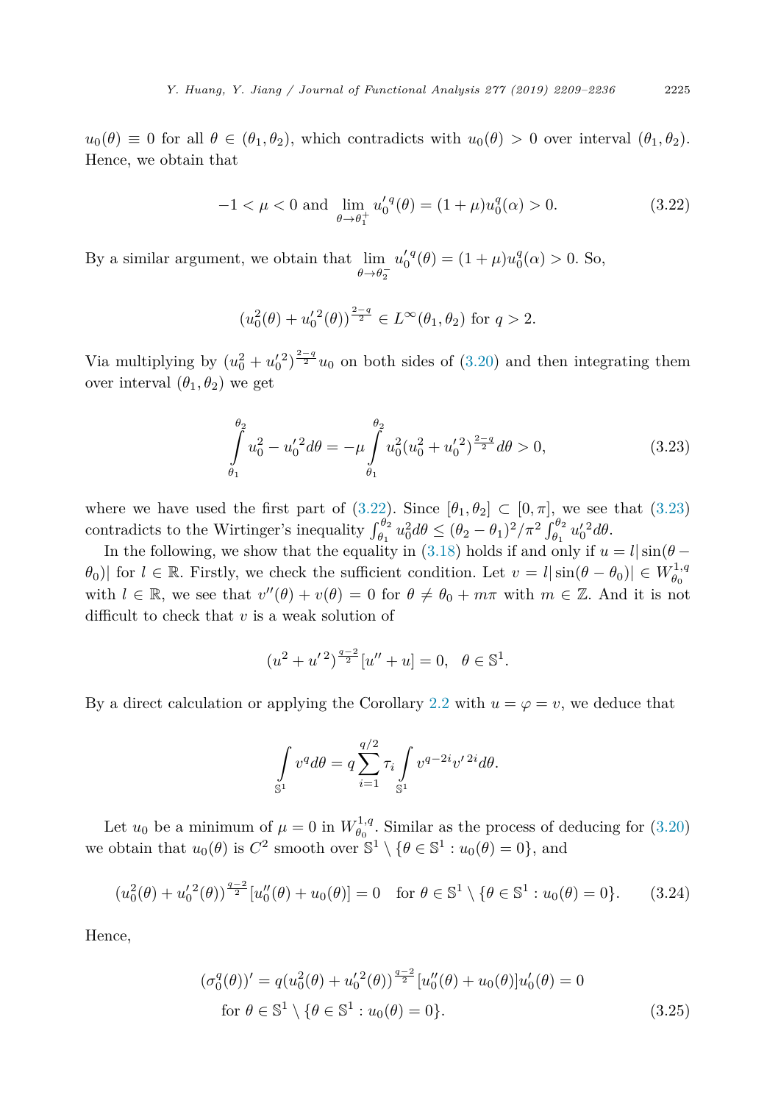<span id="page-16-0"></span> $u_0(\theta) \equiv 0$  for all  $\theta \in (\theta_1, \theta_2)$ , which contradicts with  $u_0(\theta) > 0$  over interval  $(\theta_1, \theta_2)$ . Hence, we obtain that

$$
-1 < \mu < 0 \text{ and } \lim_{\theta \to \theta_1^+} u_0^{\prime q}(\theta) = (1 + \mu)u_0^q(\alpha) > 0. \tag{3.22}
$$

By a similar argument, we obtain that lim  $\theta \rightarrow \theta_2^$  $u_0^{\prime q}(\theta) = (1 + \mu)u_0^q(\alpha) > 0.$  So,

$$
(u_0^2(\theta) + u_0'^2(\theta))^{\frac{2-q}{2}} \in L^\infty(\theta_1, \theta_2)
$$
 for  $q > 2$ .

Via multiplying by  $(u_0^2 + u_0'^2)^{\frac{2-q}{2}} u_0$  on both sides of [\(3.20\)](#page-15-0) and then integrating them over interval  $(\theta_1, \theta_2)$  we get

$$
\int_{\theta_1}^{\theta_2} u_0^2 - u_0'^2 d\theta = -\mu \int_{\theta_1}^{\theta_2} u_0^2 (u_0^2 + u_0'^2)^{\frac{2-q}{2}} d\theta > 0,
$$
\n(3.23)

where we have used the first part of (3.22). Since  $[\theta_1, \theta_2] \subset [0, \pi]$ , we see that (3.23) contradicts to the Wirtinger's inequality  $\int_{\theta_1}^{\theta_2} u_0^2 d\theta \le (\theta_2 - \theta_1)^2 / \pi^2 \int_{\theta_1}^{\theta_2} u_0'^2 d\theta$ .

In the following, we show that the equality in [\(3.18\)](#page-14-0) holds if and only if  $u = l \sin(\theta - \theta)$ *θ*<sub>0</sub>)| for  $l \in \mathbb{R}$ . Firstly, we check the sufficient condition. Let  $v = l |\sin(\theta - \theta_0)| \in W_{\theta_0}^{1,q}$ with  $l \in \mathbb{R}$ , we see that  $v''(\theta) + v(\theta) = 0$  for  $\theta \neq \theta_0 + m\pi$  with  $m \in \mathbb{Z}$ . And it is not difficult to check that *v* is a weak solution of

$$
(u2 + u'2)^{\frac{q-2}{2}}[u'' + u] = 0, \ \ \theta \in \mathbb{S}^{1}.
$$

By a direct calculation or applying the Corollary [2.2](#page-9-0) with  $u = \varphi = v$ , we deduce that

$$
\int_{\mathbb{S}^1} v^q d\theta = q \sum_{i=1}^{q/2} \tau_i \int_{\mathbb{S}^1} v^{q-2i} v'^{2i} d\theta.
$$

Let  $u_0$  be a minimum of  $\mu = 0$  in  $W_{\theta_0}^{1,q}$ . Similar as the process of deducing for [\(3.20\)](#page-15-0) we obtain that  $u_0(\theta)$  is  $C^2$  smooth over  $\mathbb{S}^1 \setminus {\theta \in \mathbb{S}^1 : u_0(\theta) = 0}$ , and

$$
(u_0^2(\theta) + u_0'^2(\theta))^{\frac{q-2}{2}} [u_0''(\theta) + u_0(\theta)] = 0 \text{ for } \theta \in \mathbb{S}^1 \setminus \{\theta \in \mathbb{S}^1 : u_0(\theta) = 0\}. \tag{3.24}
$$

Hence,

$$
(\sigma_0^q(\theta))' = q(u_0^2(\theta) + u_0'^2(\theta))^{\frac{q-2}{2}} [u_0''(\theta) + u_0(\theta)]u_0'(\theta) = 0
$$
  
for  $\theta \in \mathbb{S}^1 \setminus {\theta \in \mathbb{S}^1 : u_0(\theta) = 0}.$  (3.25)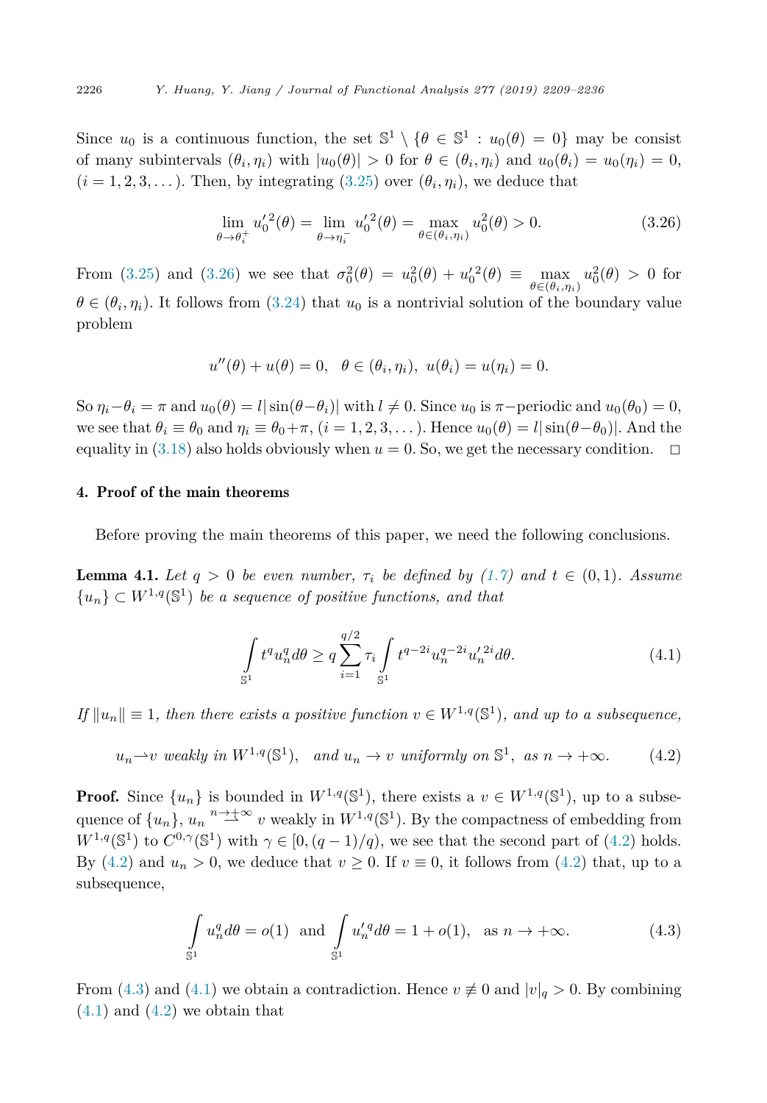Since  $u_0$  is a continuous function, the set  $\mathbb{S}^1 \setminus {\theta \in \mathbb{S}^1 : u_0(\theta) = 0}$  may be consist of many subintervals  $(\theta_i, \eta_i)$  with  $|u_0(\theta)| > 0$  for  $\theta \in (\theta_i, \eta_i)$  and  $u_0(\theta_i) = u_0(\eta_i) = 0$ ,  $(i = 1, 2, 3, \ldots)$ . Then, by integrating  $(3.25)$  over  $(\theta_i, \eta_i)$ , we deduce that

$$
\lim_{\theta \to \theta_i^+} u_0^{\prime 2}(\theta) = \lim_{\theta \to \eta_i^-} u_0^{\prime 2}(\theta) = \max_{\theta \in (\theta_i, \eta_i)} u_0^2(\theta) > 0.
$$
\n(3.26)

From [\(3.25\)](#page-16-0) and (3.26) we see that  $\sigma_0^2(\theta) = u_0^2(\theta) + u_0'^2(\theta) \equiv \max_{\theta \in (\theta_i, \eta_i)}$  $u_0^2(\theta) > 0$  for  $\theta \in (\theta_i, \eta_i)$ . It follows from [\(3.24\)](#page-16-0) that  $u_0$  is a nontrivial solution of the boundary value problem

$$
u''(\theta) + u(\theta) = 0, \quad \theta \in (\theta_i, \eta_i), \ u(\theta_i) = u(\eta_i) = 0.
$$

So  $\eta_i - \theta_i = \pi$  and  $u_0(\theta) = l |\sin(\theta - \theta_i)|$  with  $l \neq 0$ . Since  $u_0$  is  $\pi$ -periodic and  $u_0(\theta_0) = 0$ , we see that  $\theta_i \equiv \theta_0$  and  $\eta_i \equiv \theta_0 + \pi$ ,  $(i = 1, 2, 3, ...)$ . Hence  $u_0(\theta) = l |\sin(\theta - \theta_0)|$ . And the equality in [\(3.18\)](#page-14-0) also holds obviously when  $u = 0$ . So, we get the necessary condition.  $\Box$ 

### 4. Proof of the main theorems

Before proving the main theorems of this paper, we need the following conclusions.

**Lemma 4.1.** Let  $q > 0$  be even number,  $\tau_i$  be defined by [\(1.7\)](#page-3-0) and  $t \in (0,1)$ . Assume  ${u_n} \subset W^{1,q}(\mathbb{S}^1)$  *be a sequence of positive functions, and that* 

$$
\int_{\mathbb{S}^1} t^q u_n^q d\theta \ge q \sum_{i=1}^{q/2} \tau_i \int_{\mathbb{S}^1} t^{q-2i} u_n^{q-2i} u_n'^{2i} d\theta.
$$
 (4.1)

 $If ||u_n|| \equiv 1$ , then there exists a positive function  $v \in W^{1,q}(\mathbb{S}^1)$ , and up to a subsequence,

$$
u_n \to v
$$
 weakly in  $W^{1,q}(\mathbb{S}^1)$ , and  $u_n \to v$  uniformly on  $\mathbb{S}^1$ , as  $n \to +\infty$ . (4.2)

**Proof.** Since  $\{u_n\}$  is bounded in  $W^{1,q}(\mathbb{S}^1)$ , there exists a  $v \in W^{1,q}(\mathbb{S}^1)$ , up to a subsequence of  $\{u_n\}$ ,  $u_n \stackrel{n \to \pm \infty}{\longrightarrow} v$  weakly in  $W^{1,q}(\mathbb{S}^1)$ . By the compactness of embedding from  $W^{1,q}(\mathbb{S}^1)$  to  $C^{0,\gamma}(\mathbb{S}^1)$  with  $\gamma \in [0,(q-1)/q)$ , we see that the second part of (4.2) holds. By (4.2) and  $u_n > 0$ , we deduce that  $v \ge 0$ . If  $v \equiv 0$ , it follows from (4.2) that, up to a subsequence,

$$
\int_{\mathbb{S}^1} u_n^q d\theta = o(1) \text{ and } \int_{\mathbb{S}^1} u'_n^q d\theta = 1 + o(1), \text{ as } n \to +\infty.
$$
 (4.3)

From (4.3) and (4.1) we obtain a contradiction. Hence  $v \neq 0$  and  $|v|_q > 0$ . By combining  $(4.1)$  and  $(4.2)$  we obtain that

<span id="page-17-0"></span>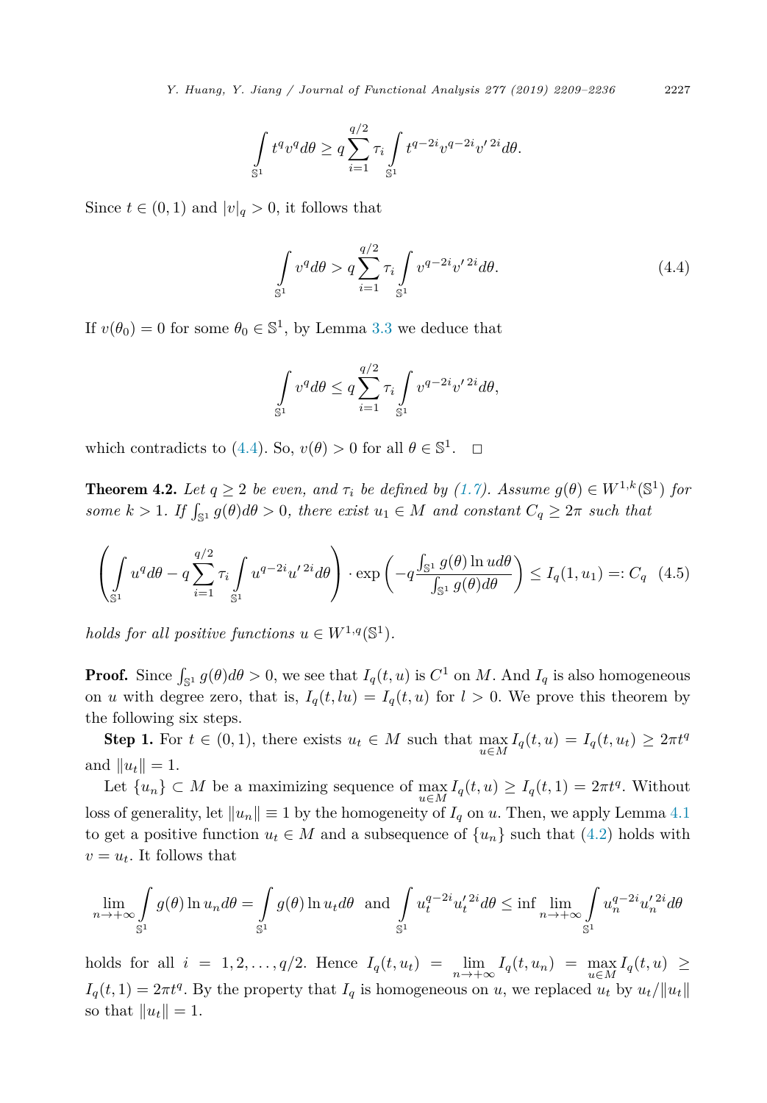<span id="page-18-0"></span>*Y. Huang, Y. Jiang / Journal of Functional Analysis 277 (2019) 2209–2236* 2227

$$
\int_{\mathbb{S}^1} t^q v^q d\theta \ge q \sum_{i=1}^{q/2} \tau_i \int_{\mathbb{S}^1} t^{q-2i} v^{q-2i} v'^{2i} d\theta.
$$

Since  $t \in (0,1)$  and  $|v|_q > 0$ , it follows that

$$
\int_{\mathbb{S}^1} v^q d\theta > q \sum_{i=1}^{q/2} \tau_i \int_{\mathbb{S}^1} v^{q-2i} v'^{2i} d\theta.
$$
 (4.4)

If  $v(\theta_0) = 0$  for some  $\theta_0 \in \mathbb{S}^1$ , by Lemma [3.3](#page-14-0) we deduce that

$$
\int_{\mathbb{S}^1} v^q d\theta \le q \sum_{i=1}^{q/2} \tau_i \int_{\mathbb{S}^1} v^{q-2i} v'^{2i} d\theta,
$$

which contradicts to (4.4). So,  $v(\theta) > 0$  for all  $\theta \in \mathbb{S}^1$ .  $\Box$ 

**Theorem 4.2.** *Let*  $q \geq 2$  *be even,* and  $\tau_i$  *be defined by* [\(1.7\)](#page-3-0)*. Assume*  $g(\theta) \in W^{1,k}(\mathbb{S}^1)$  *for some*  $k > 1$ *. If*  $\int_{\mathbb{S}^1} g(\theta) d\theta > 0$ *, there exist*  $u_1 \in M$  *and constant*  $C_q \geq 2\pi$  *such that* 

$$
\left(\int_{\mathbb{S}^1} u^q d\theta - q \sum_{i=1}^{q/2} \tau_i \int_{\mathbb{S}^1} u^{q-2i} u'^{2i} d\theta \right) \cdot \exp\left(-q \frac{\int_{\mathbb{S}^1} g(\theta) \ln u d\theta}{\int_{\mathbb{S}^1} g(\theta) d\theta}\right) \le I_q(1, u_1) =: C_q \quad (4.5)
$$

*holds for all positive functions*  $u \in W^{1,q}(\mathbb{S}^1)$ *.* 

**Proof.** Since  $\int_{\mathbb{S}^1} g(\theta) d\theta > 0$ , we see that  $I_q(t, u)$  is  $C^1$  on M. And  $I_q$  is also homogeneous on *u* with degree zero, that is,  $I_q(t, l u) = I_q(t, u)$  for  $l > 0$ . We prove this theorem by the following six steps.

Step 1. For  $t \in (0,1)$ , there exists  $u_t \in M$  such that  $\max_{u \in M} I_q(t, u) = I_q(t, u_t) \geq 2\pi t^q$ and  $||u_t|| = 1$ .

Let  $\{u_n\} \subset M$  be a maximizing sequence of  $\max_{u \in M} I_q(t, u) \ge I_q(t, 1) = 2\pi t^q$ . Without loss of generality, let  $||u_n|| \equiv 1$  by the homogeneity of  $I_q$  on  $u$ . Then, we apply Lemma [4.1](#page-17-0) to get a positive function  $u_t \in M$  and a subsequence of  $\{u_n\}$  such that [\(4.2\)](#page-17-0) holds with  $v = u_t$ . It follows that

$$
\lim_{n \to +\infty} \int_{\mathbb{S}^1} g(\theta) \ln u_n d\theta = \int_{\mathbb{S}^1} g(\theta) \ln u_t d\theta \text{ and } \int_{\mathbb{S}^1} u_t^{q-2i} u_t'^{2i} d\theta \le \inf \lim_{n \to +\infty} \int_{\mathbb{S}^1} u_n^{q-2i} u_n'^{2i} d\theta
$$

holds for all  $i = 1, 2, ..., q/2$ . Hence  $I_q(t, u_t) = \lim_{n \to +\infty} I_q(t, u_n) = \max_{u \in M} I_q(t, u) \ge$  $I_q(t,1) = 2\pi t^q$ . By the property that  $I_q$  is homogeneous on *u*, we replaced  $u_t$  by  $u_t / \|u_t\|$ so that  $||u_t|| = 1$ .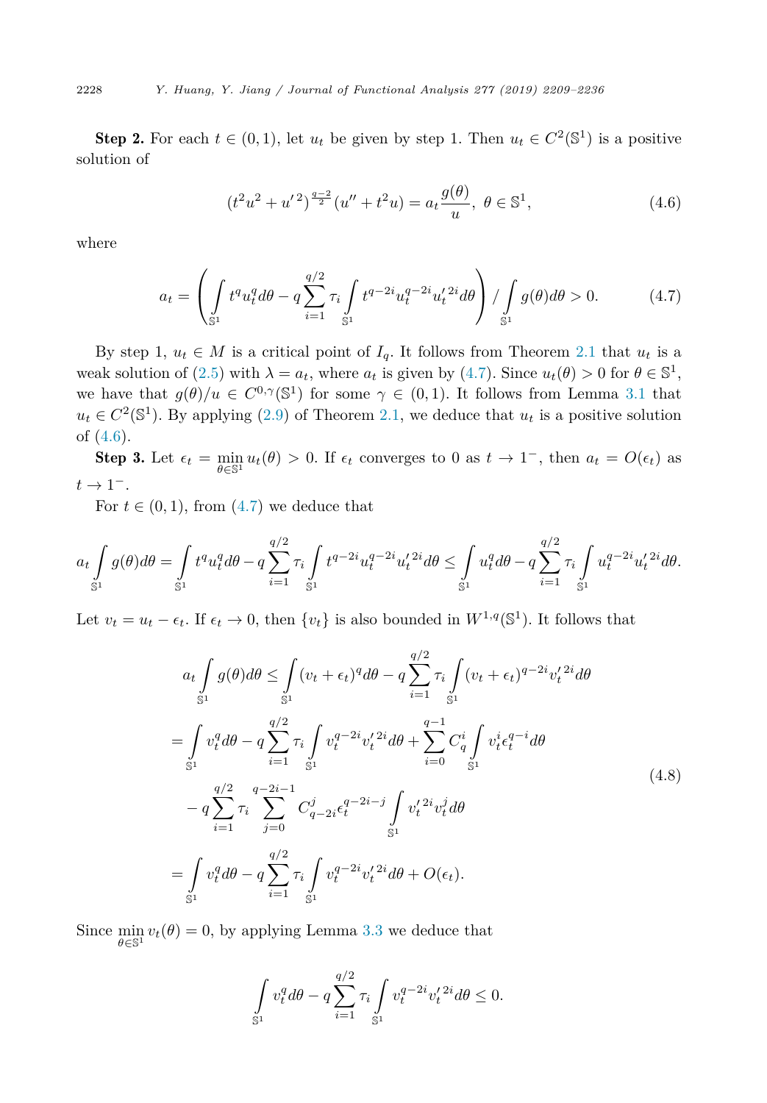**Step 2.** For each  $t \in (0,1)$ , let  $u_t$  be given by step 1. Then  $u_t \in C^2(\mathbb{S}^1)$  is a positive solution of

$$
(t2u2 + u'2)\frac{q-2}{2}(u'' + t2u) = at\frac{g(\theta)}{u}, \ \theta \in \mathbb{S}^{1},
$$
\n(4.6)

where

$$
a_t = \left(\int_{\mathbb{S}^1} t^q u_t^q d\theta - q \sum_{i=1}^{q/2} \tau_i \int_{\mathbb{S}^1} t^{q-2i} u_t^{q-2i} u_t'^{2i} d\theta\right) / \int_{\mathbb{S}^1} g(\theta) d\theta > 0. \tag{4.7}
$$

By step 1,  $u_t \in M$  is a critical point of  $I_q$ . It follows from Theorem [2.1](#page-7-0) that  $u_t$  is a weak solution of [\(2.5\)](#page-7-0) with  $\lambda = a_t$ , where  $a_t$  is given by (4.7). Since  $u_t(\theta) > 0$  for  $\theta \in \mathbb{S}^1$ , we have that  $g(\theta)/u \in C^{0,\gamma}(\mathbb{S}^1)$  for some  $\gamma \in (0,1)$ . It follows from Lemma [3.1](#page-10-0) that  $u_t \in C^2(\mathbb{S}^1)$ . By applying [\(2.9\)](#page-7-0) of Theorem [2.1,](#page-7-0) we deduce that  $u_t$  is a positive solution of (4.6).

**Step 3.** Let  $\epsilon_t = \min_{\theta \in \mathbb{S}^1} u_t(\theta) > 0$ . If  $\epsilon_t$  converges to 0 as  $t \to 1^-$ , then  $a_t = O(\epsilon_t)$  as  $t \rightarrow 1^{-}$ .

For  $t \in (0, 1)$ , from  $(4.7)$  we deduce that

$$
a_t \int_{\mathbb{S}^1} g(\theta) d\theta = \int_{\mathbb{S}^1} t^q u_t^q d\theta - q \sum_{i=1}^{q/2} \tau_i \int_{\mathbb{S}^1} t^{q-2i} u_t^{q-2i} u_t'^{2i} d\theta \le \int_{\mathbb{S}^1} u_t^q d\theta - q \sum_{i=1}^{q/2} \tau_i \int_{\mathbb{S}^1} u_t^{q-2i} u_t'^{2i} d\theta.
$$

Let  $v_t = u_t - \epsilon_t$ . If  $\epsilon_t \to 0$ , then  $\{v_t\}$  is also bounded in  $W^{1,q}(\mathbb{S}^1)$ . It follows that

$$
a_{t} \int_{\mathbb{S}^{1}} g(\theta) d\theta \leq \int_{\mathbb{S}^{1}} (v_{t} + \epsilon_{t})^{q} d\theta - q \sum_{i=1}^{q/2} \tau_{i} \int_{\mathbb{S}^{1}} (v_{t} + \epsilon_{t})^{q-2i} v_{t}'^{2i} d\theta
$$
  
\n
$$
= \int_{\mathbb{S}^{1}} v_{t}^{q} d\theta - q \sum_{i=1}^{q/2} \tau_{i} \int_{\mathbb{S}^{1}} v_{t}^{q-2i} v_{t}'^{2i} d\theta + \sum_{i=0}^{q-1} C_{q}^{i} \int_{\mathbb{S}^{1}} v_{t}^{i} \epsilon_{t}^{q-i} d\theta
$$
  
\n
$$
- q \sum_{i=1}^{q/2} \tau_{i} \sum_{j=0}^{q-2i-1} C_{q-2i}^{j} \epsilon_{t}^{q-2i-j} \int_{\mathbb{S}^{1}} v_{t}'^{2i} v_{t}^{j} d\theta
$$
  
\n
$$
= \int_{\mathbb{S}^{1}} v_{t}^{q} d\theta - q \sum_{i=1}^{q/2} \tau_{i} \int_{\mathbb{S}^{1}} v_{t}^{q-2i} v_{t}'^{2i} d\theta + O(\epsilon_{t}).
$$
  
\n(4.8)

Since  $\min_{\theta \in \mathbb{S}^1} v_t(\theta) = 0$ , by applying Lemma [3.3](#page-14-0) we deduce that

$$
\int_{\mathbb{S}^1} v_t^q d\theta - q \sum_{i=1}^{q/2} \tau_i \int_{\mathbb{S}^1} v_t^{q-2i} v_t'^{2i} d\theta \le 0.
$$

<span id="page-19-0"></span>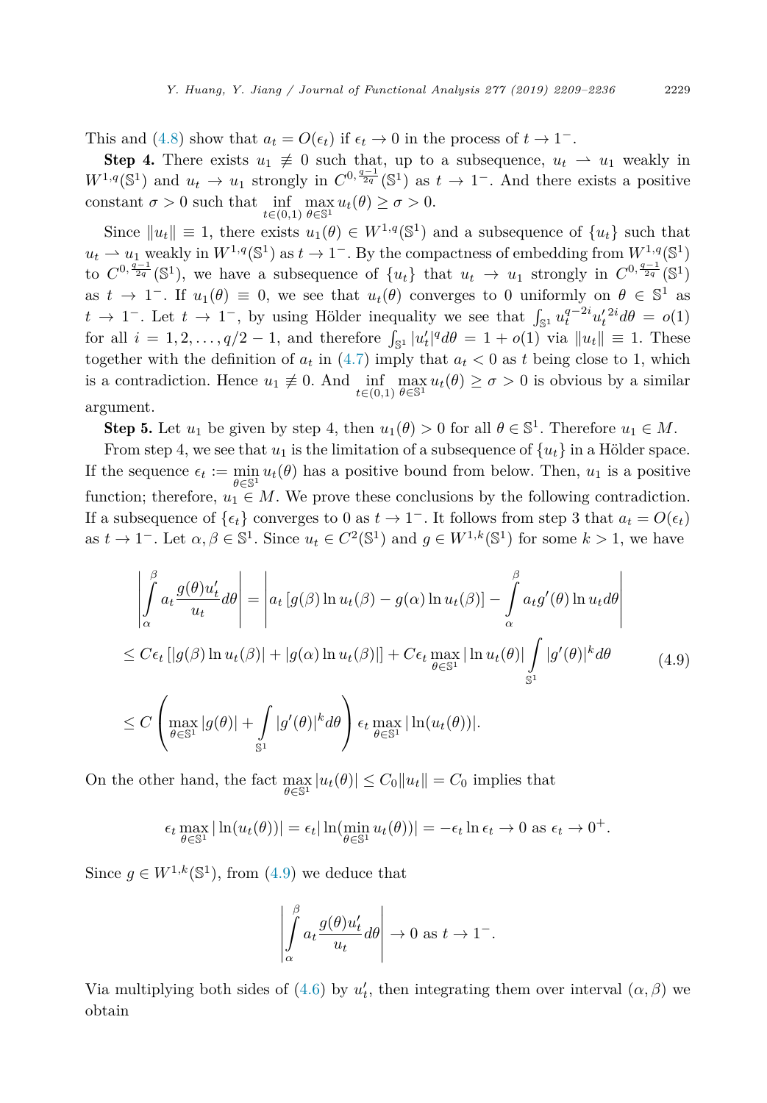This and [\(4.8\)](#page-19-0) show that  $a_t = O(\epsilon_t)$  if  $\epsilon_t \to 0$  in the process of  $t \to 1^-$ .

Step 4. There exists  $u_1 \neq 0$  such that, up to a subsequence,  $u_t \rightharpoonup u_1$  weakly in  $W^{1,q}(\mathbb{S}^1)$  and  $u_t \to u_1$  strongly in  $C^{0,\frac{q-1}{2q}}(\mathbb{S}^1)$  as  $t \to 1^-$ . And there exists a positive constant  $\sigma > 0$  such that inf *t*∈(0*,*1)  $\max_{\theta \in \mathbb{S}^1} u_t(\theta) \geq \sigma > 0.$ 

Since  $||u_t|| \equiv 1$ , there exists  $u_1(\theta) \in W^{1,q}(\mathbb{S}^1)$  and a subsequence of  $\{u_t\}$  such that  $u_t \rightharpoonup u_1$  weakly in  $W^{1,q}(\mathbb{S}^1)$  as  $t \to 1^-$ . By the compactness of embedding from  $W^{1,q}(\mathbb{S}^1)$ to  $C^{0,\frac{q-1}{2q}}(\mathbb{S}^1)$ , we have a subsequence of  $\{u_t\}$  that  $u_t \to u_1$  strongly in  $C^{0,\frac{q-1}{2q}}(\mathbb{S}^1)$ as  $t \to 1^-$ . If  $u_1(\theta) \equiv 0$ , we see that  $u_t(\theta)$  converges to 0 uniformly on  $\theta \in \mathbb{S}^1$  as *t* → 1<sup>−</sup>. Let *t* → 1<sup>−</sup>, by using Hölder inequality we see that  $\int_{\mathbb{S}^1} u_t^{q-2i} u_t'^{2i} d\theta = o(1)$ for all  $i = 1, 2, \ldots, q/2 - 1$ , and therefore  $\int_{\mathbb{S}^1} |u'_t|^q d\theta = 1 + o(1)$  via  $||u_t|| \equiv 1$ . These together with the definition of  $a_t$  in [\(4.7\)](#page-19-0) imply that  $a_t < 0$  as t being close to 1, which is a contradiction. Hence  $u_1 \not\equiv 0$ . And  $\inf_{t \in (0,1)}$  $\max_{\theta \in \mathbb{S}^1} u_t(\theta) \ge \sigma > 0$  is obvious by a similar argument.

**Step 5.** Let  $u_1$  be given by step 4, then  $u_1(\theta) > 0$  for all  $\theta \in \mathbb{S}^1$ . Therefore  $u_1 \in M$ .

From step 4, we see that  $u_1$  is the limitation of a subsequence of  $\{u_t\}$  in a Hölder space. If the sequence  $\epsilon_t := \min_{\theta \in \mathbb{S}^1} u_t(\theta)$  has a positive bound from below. Then,  $u_1$  is a positive function; therefore,  $u_1 \in M$ . We prove these conclusions by the following contradiction. If a subsequence of  $\{\epsilon_t\}$  converges to 0 as  $t \to 1^-$ . It follows from step 3 that  $a_t = O(\epsilon_t)$ as  $t \to 1^-$ . Let  $\alpha, \beta \in \mathbb{S}^1$ . Since  $u_t \in C^2(\mathbb{S}^1)$  and  $g \in W^{1,k}(\mathbb{S}^1)$  for some  $k > 1$ , we have

$$
\left| \int_{\alpha}^{\beta} a_t \frac{g(\theta)u'_t}{u_t} d\theta \right| = \left| a_t \left[ g(\beta) \ln u_t(\beta) - g(\alpha) \ln u_t(\beta) \right] - \int_{\alpha}^{\beta} a_t g'(\theta) \ln u_t d\theta \right|
$$
  
\n
$$
\leq C \epsilon_t \left[ |g(\beta) \ln u_t(\beta)| + |g(\alpha) \ln u_t(\beta)| \right] + C \epsilon_t \max_{\theta \in \mathbb{S}^1} |\ln u_t(\theta)| \int_{\mathbb{S}^1} |g'(\theta)|^k d\theta
$$
  
\n
$$
\leq C \left( \max_{\theta \in \mathbb{S}^1} |g(\theta)| + \int_{\mathbb{S}^1} |g'(\theta)|^k d\theta \right) \epsilon_t \max_{\theta \in \mathbb{S}^1} |\ln(u_t(\theta))|.
$$
 (4.9)

On the other hand, the fact  $\max_{\theta \in \mathbb{S}^1} |u_t(\theta)| \leq C_0 ||u_t|| = C_0$  implies that

$$
\epsilon_t \max_{\theta \in \mathbb{S}^1} |\ln(u_t(\theta))| = \epsilon_t |\ln(\min_{\theta \in \mathbb{S}^1} u_t(\theta))| = -\epsilon_t \ln \epsilon_t \to 0 \text{ as } \epsilon_t \to 0^+.
$$

Since  $q \in W^{1,k}(\mathbb{S}^1)$ , from  $(4.9)$  we deduce that

$$
\left| \int_{\alpha}^{\beta} a_t \frac{g(\theta) u'_t}{u_t} d\theta \right| \to 0 \text{ as } t \to 1^-.
$$

Via multiplying both sides of [\(4.6\)](#page-19-0) by  $u'_t$ , then integrating them over interval  $(\alpha, \beta)$  we obtain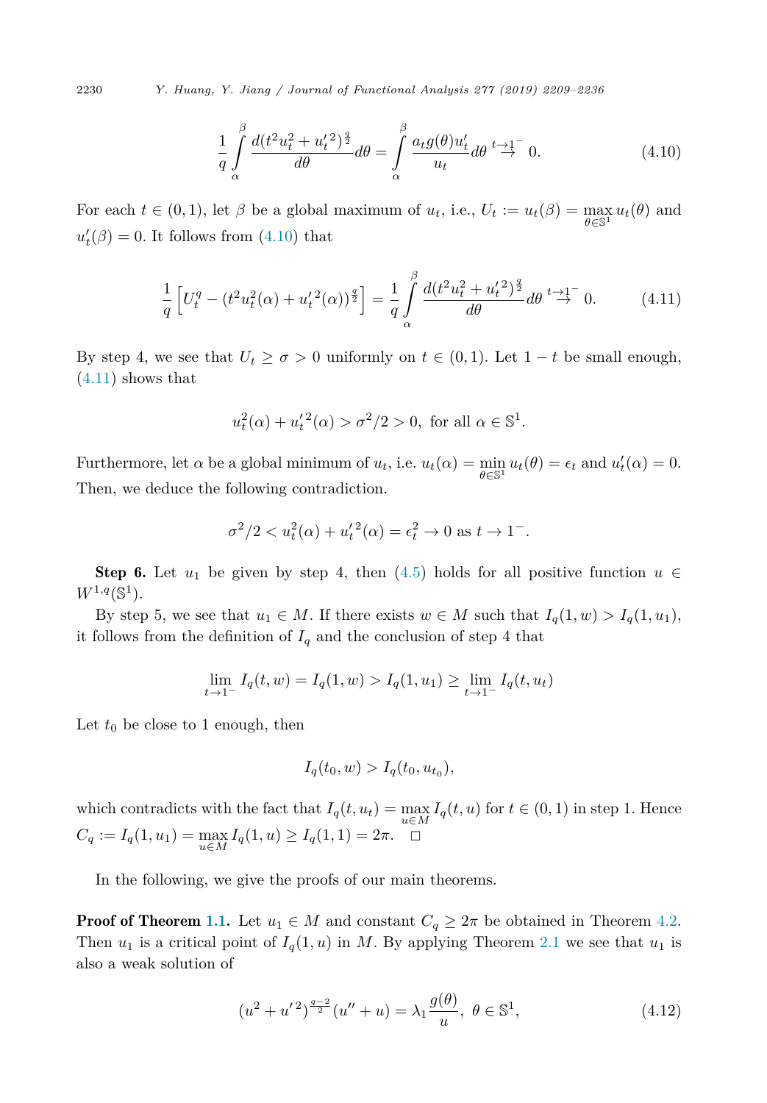<span id="page-21-0"></span>2230 *Y. Huang, Y. Jiang / Journal of Functional Analysis 277 (2019) 2209–2236*

$$
\frac{1}{q} \int_{\alpha}^{\beta} \frac{d(t^2 u_t^2 + u_t'^2)^{\frac{q}{2}}}{d\theta} d\theta = \int_{\alpha}^{\beta} \frac{a_t g(\theta) u_t'}{u_t} d\theta \stackrel{t \to 1^-}{\to} 0. \tag{4.10}
$$

For each  $t \in (0,1)$ , let  $\beta$  be a global maximum of  $u_t$ , i.e.,  $U_t := u_t(\beta) = \max_{\theta \in \mathbb{S}^1} u_t(\theta)$  and  $u'_{t}(\beta) = 0$ . It follows from  $(4.10)$  that

$$
\frac{1}{q} \left[ U_t^q - (t^2 u_t^2(\alpha) + u_t'^2(\alpha))^{\frac{q}{2}} \right] = \frac{1}{q} \int_{\alpha}^{\beta} \frac{d(t^2 u_t^2 + u_t'^2)^{\frac{q}{2}}}{d\theta} d\theta \stackrel{t \to 1^-}{\to} 0. \tag{4.11}
$$

By step 4, we see that  $U_t \geq \sigma > 0$  uniformly on  $t \in (0,1)$ . Let  $1-t$  be small enough,  $(4.11)$  shows that

$$
u_t^2(\alpha) + u_t'^2(\alpha) > \sigma^2/2 > 0
$$
, for all  $\alpha \in \mathbb{S}^1$ .

Furthermore, let  $\alpha$  be a global minimum of  $u_t$ , i.e.  $u_t(\alpha) = \min_{\theta \in \mathbb{S}^1} u_t(\theta) = \epsilon_t$  and  $u'_t(\alpha) = 0$ . Then, we deduce the following contradiction.

$$
\sigma^2/2 < u_t^2(\alpha) + u_t'^2(\alpha) = \epsilon_t^2 \to 0 \text{ as } t \to 1^-.
$$

**Step 6.** Let  $u_1$  be given by step 4, then [\(4.5\)](#page-18-0) holds for all positive function  $u \in$  $W^{1,q}(\mathbb{S}^1).$ 

By step 5, we see that  $u_1 \in M$ . If there exists  $w \in M$  such that  $I_q(1, w) > I_q(1, u_1)$ , it follows from the definition of  $I_q$  and the conclusion of step 4 that

$$
\lim_{t \to 1^{-}} I_q(t, w) = I_q(1, w) > I_q(1, u_1) \ge \lim_{t \to 1^{-}} I_q(t, u_t)
$$

Let  $t_0$  be close to 1 enough, then

$$
I_q(t_0, w) > I_q(t_0, u_{t_0}),
$$

which contradicts with the fact that  $I_q(t, u_t) = \max_{u \in M} I_q(t, u)$  for  $t \in (0, 1)$  in step 1. Hence *C*<sup>*q*</sup> := *I*<sub>*q*</sub>(1*, u*<sub>1</sub>) =  $\max_{u \in M} I_q(1, u) \geq I_q(1, 1) = 2π. \quad \Box$ 

In the following, we give the proofs of our main theorems.

**Proof of Theorem [1.1.](#page-3-0)** Let  $u_1 \in M$  and constant  $C_q \geq 2\pi$  be obtained in Theorem [4.2.](#page-18-0) Then  $u_1$  is a critical point of  $I_q(1, u)$  in M. By applying Theorem [2.1](#page-7-0) we see that  $u_1$  is also a weak solution of

$$
(u2 + u'2)^{\frac{q-2}{2}}(u'' + u) = \lambda_1 \frac{g(\theta)}{u}, \ \theta \in \mathbb{S}^1,
$$
 (4.12)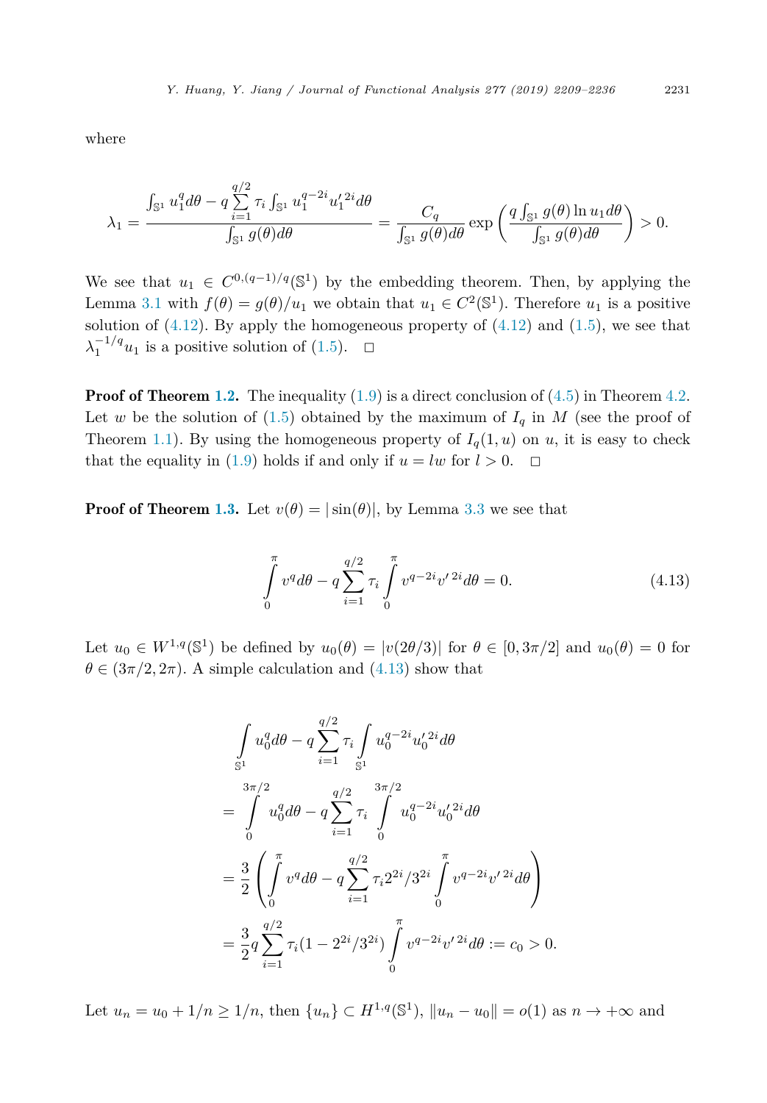where

$$
\lambda_1 = \frac{\int_{\mathbb{S}^1} u_1^q d\theta - q \sum_{i=1}^{q/2} \tau_i \int_{\mathbb{S}^1} u_1^{q-2i} u_1'^{2i} d\theta}{\int_{\mathbb{S}^1} g(\theta) d\theta} = \frac{C_q}{\int_{\mathbb{S}^1} g(\theta) d\theta} \exp\left(\frac{q \int_{\mathbb{S}^1} g(\theta) \ln u_1 d\theta}{\int_{\mathbb{S}^1} g(\theta) d\theta}\right) > 0.
$$

We see that  $u_1 \in C^{0,(q-1)/q}(\mathbb{S}^1)$  by the embedding theorem. Then, by applying the Lemma [3.1](#page-10-0) with  $f(\theta) = g(\theta)/u_1$  we obtain that  $u_1 \in C^2(\mathbb{S}^1)$ . Therefore  $u_1$  is a positive solution of  $(4.12)$ . By apply the homogeneous property of  $(4.12)$  and  $(1.5)$ , we see that  $\lambda_1^{-1/q}u_1$  is a positive solution of [\(1.5\)](#page-3-0).  $\Box$ 

**Proof of Theorem [1.2.](#page-4-0)** The inequality  $(1.9)$  is a direct conclusion of  $(4.5)$  in Theorem [4.2.](#page-18-0) Let *w* be the solution of  $(1.5)$  obtained by the maximum of  $I_q$  in M (see the proof of Theorem [1.1\)](#page-3-0). By using the homogeneous property of  $I_q(1, u)$  on *u*, it is easy to check that the equality in [\(1.9\)](#page-4-0) holds if and only if  $u = lw$  for  $l > 0$ .

**Proof of Theorem [1.3.](#page-5-0)** Let  $v(\theta) = |\sin(\theta)|$ , by Lemma [3.3](#page-14-0) we see that

$$
\int_{0}^{\pi} v^{q} d\theta - q \sum_{i=1}^{q/2} \tau_{i} \int_{0}^{\pi} v^{q-2i} v'^{2i} d\theta = 0.
$$
 (4.13)

Let  $u_0 \in W^{1,q}(\mathbb{S}^1)$  be defined by  $u_0(\theta) = |v(2\theta/3)|$  for  $\theta \in [0, 3\pi/2]$  and  $u_0(\theta) = 0$  for  $\theta \in (3\pi/2, 2\pi)$ . A simple calculation and  $(4.13)$  show that

$$
\int_{S^1} u_0^q d\theta - q \sum_{i=1}^{q/2} \tau_i \int_{S^1} u_0^{q-2i} u_0'^{2i} d\theta
$$
\n
$$
= \int_0^{3\pi/2} u_0^q d\theta - q \sum_{i=1}^{q/2} \tau_i \int_0^{3\pi/2} u_0^{q-2i} u_0'^{2i} d\theta
$$
\n
$$
= \frac{3}{2} \left( \int_0^{\pi} v^q d\theta - q \sum_{i=1}^{q/2} \tau_i 2^{2i} / 3^{2i} \int_0^{\pi} v^{q-2i} v'^{2i} d\theta \right)
$$
\n
$$
= \frac{3}{2} q \sum_{i=1}^{q/2} \tau_i (1 - 2^{2i} / 3^{2i}) \int_0^{\pi} v^{q-2i} v'^{2i} d\theta := c_0 > 0.
$$

Let  $u_n = u_0 + 1/n \ge 1/n$ , then  $\{u_n\} \subset H^{1,q}(\mathbb{S}^1)$ ,  $||u_n - u_0|| = o(1)$  as  $n \to +\infty$  and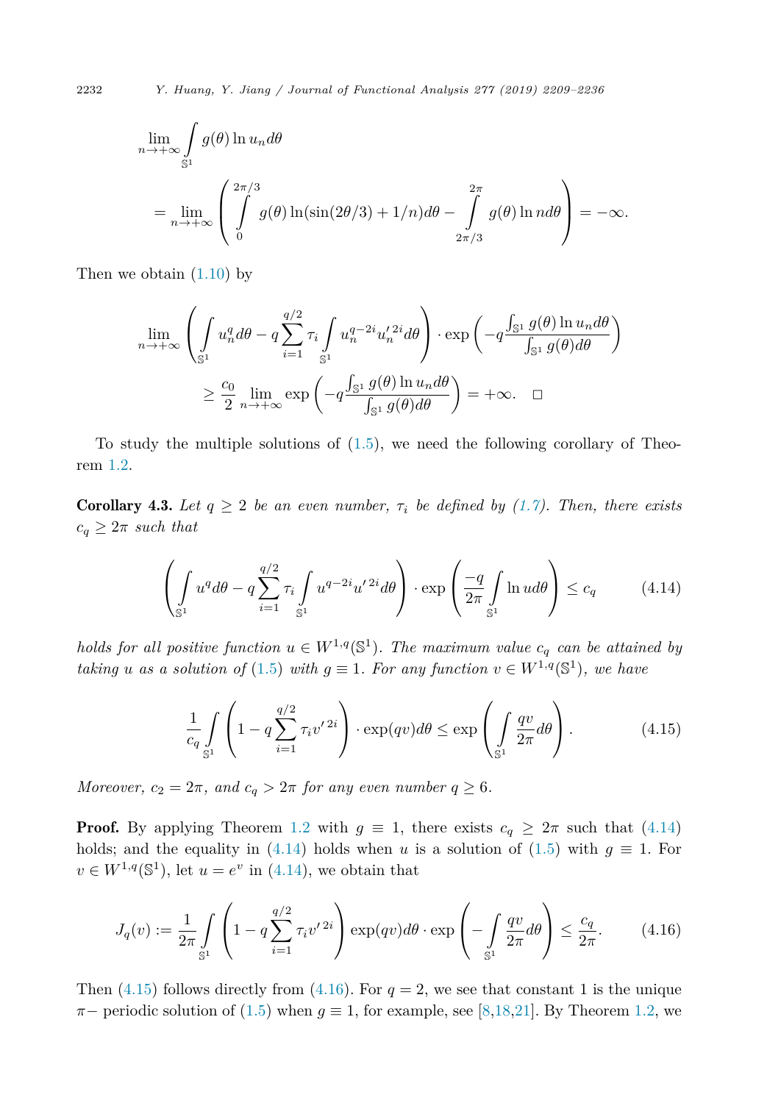$$
\lim_{n \to +\infty} \int_{S^1} g(\theta) \ln u_n d\theta
$$
  
= 
$$
\lim_{n \to +\infty} \left( \int_{0}^{2\pi/3} g(\theta) \ln(\sin(2\theta/3) + 1/n) d\theta - \int_{2\pi/3}^{2\pi} g(\theta) \ln nd\theta \right) = -\infty.
$$

Then we obtain  $(1.10)$  by

$$
\lim_{n \to +\infty} \left( \int_{\mathbb{S}^1} u_n^q d\theta - q \sum_{i=1}^{q/2} \tau_i \int_{\mathbb{S}^1} u_n^{q-2i} u_n'^{2i} d\theta \right) \cdot \exp\left( -q \frac{\int_{\mathbb{S}^1} g(\theta) \ln u_n d\theta}{\int_{\mathbb{S}^1} g(\theta) d\theta} \right)
$$

$$
\geq \frac{c_0}{2} \lim_{n \to +\infty} \exp\left( -q \frac{\int_{\mathbb{S}^1} g(\theta) \ln u_n d\theta}{\int_{\mathbb{S}^1} g(\theta) d\theta} \right) = +\infty. \quad \Box
$$

To study the multiple solutions of  $(1.5)$ , we need the following corollary of Theorem [1.2.](#page-4-0)

**Corollary 4.3.** Let  $q \geq 2$  be an even number,  $\tau_i$  be defined by [\(1.7\)](#page-3-0). Then, there exists  $c_q \geq 2\pi$  *such that* 

$$
\left(\int_{\mathbb{S}^1} u^q d\theta - q \sum_{i=1}^{q/2} \tau_i \int_{\mathbb{S}^1} u^{q-2i} u'^{2i} d\theta \right) \cdot \exp\left(\frac{-q}{2\pi} \int_{\mathbb{S}^1} \ln u d\theta\right) \le c_q \tag{4.14}
$$

*holds for all positive function*  $u \in W^{1,q}(\mathbb{S}^1)$ *. The maximum value*  $c_q$  *can be attained by taking u as a solution of* [\(1.5\)](#page-3-0) *with*  $q \equiv 1$ *. For any function*  $v \in W^{1,q}(\mathbb{S}^1)$ *, we have* 

$$
\frac{1}{c_q} \int\limits_{\mathbb{S}^1} \left( 1 - q \sum_{i=1}^{q/2} \tau_i v'^{2i} \right) \cdot \exp(qv) d\theta \le \exp\left( \int\limits_{\mathbb{S}^1} \frac{qv}{2\pi} d\theta \right). \tag{4.15}
$$

*Moreover,*  $c_2 = 2\pi$ *,* and  $c_q > 2\pi$  for any even number  $q \geq 6$ .

**Proof.** By applying Theorem [1.2](#page-4-0) with  $g \equiv 1$ , there exists  $c_q \geq 2\pi$  such that (4.14) holds; and the equality in (4.14) holds when *u* is a solution of [\(1.5\)](#page-3-0) with  $g \equiv 1$ . For  $v \in W^{1,q}(\mathbb{S}^1)$ , let  $u = e^v$  in (4.14), we obtain that

$$
J_q(v) := \frac{1}{2\pi} \int\limits_{\mathbb{S}^1} \left(1 - q \sum_{i=1}^{q/2} \tau_i v'^{2i}\right) \exp(qv) d\theta \cdot \exp\left(-\int\limits_{\mathbb{S}^1} \frac{qv}{2\pi} d\theta\right) \le \frac{c_q}{2\pi}.
$$
 (4.16)

Then  $(4.15)$  follows directly from  $(4.16)$ . For  $q = 2$ , we see that constant 1 is the unique  $\pi$  – periodic solution of [\(1.5\)](#page-3-0) when  $g \equiv 1$ , for example, see [\[8,18,21\]](#page-25-0). By Theorem [1.2,](#page-4-0) we

<span id="page-23-0"></span>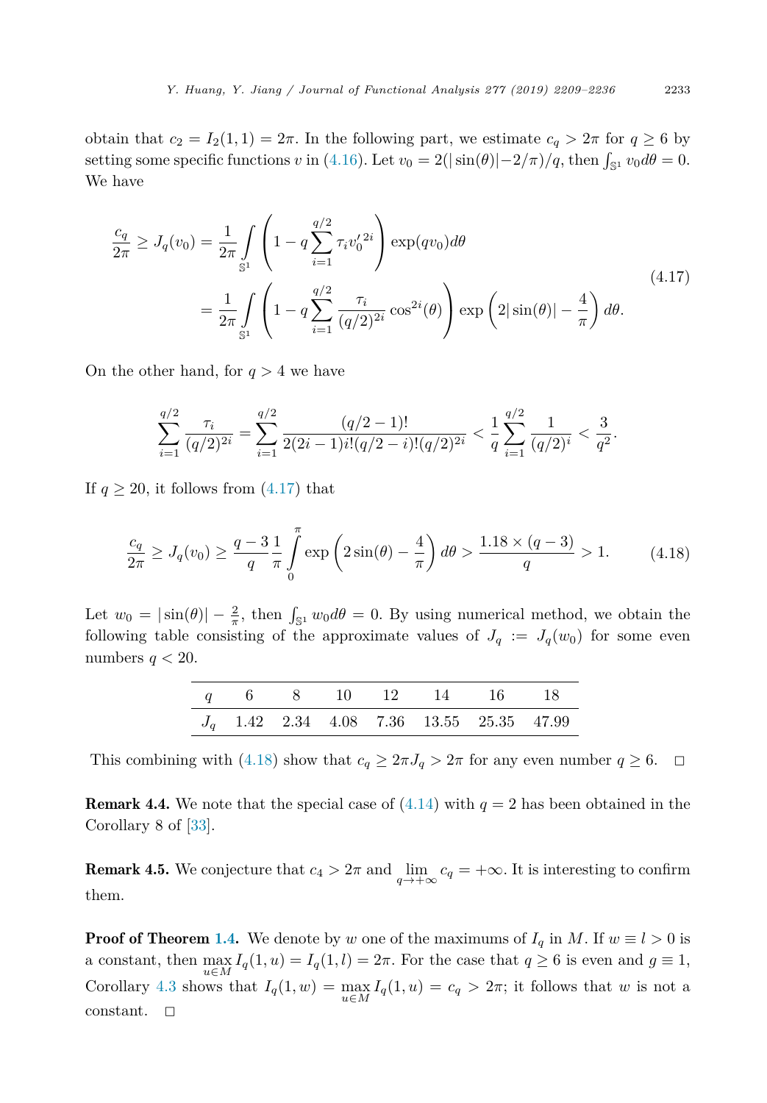obtain that  $c_2 = I_2(1, 1) = 2\pi$ . In the following part, we estimate  $c_q > 2\pi$  for  $q \ge 6$  by setting some specific functions *v* in [\(4.16\)](#page-23-0). Let  $v_0 = 2(|\sin(\theta)| - 2/\pi)/q$ , then  $\int_{\mathbb{S}^1} v_0 d\theta = 0$ . We have

$$
\frac{c_q}{2\pi} \ge J_q(v_0) = \frac{1}{2\pi} \int_{\mathbb{S}^1} \left( 1 - q \sum_{i=1}^{q/2} \tau_i v_0'^{2i} \right) \exp(qv_0) d\theta
$$
\n
$$
= \frac{1}{2\pi} \int_{\mathbb{S}^1} \left( 1 - q \sum_{i=1}^{q/2} \frac{\tau_i}{(q/2)^{2i}} \cos^{2i}(\theta) \right) \exp\left( 2|\sin(\theta)| - \frac{4}{\pi} \right) d\theta.
$$
\n(4.17)

On the other hand, for *q >* 4 we have

$$
\sum_{i=1}^{q/2} \frac{\tau_i}{(q/2)^{2i}} = \sum_{i=1}^{q/2} \frac{(q/2-1)!}{2(2i-1)i!(q/2-i)!(q/2)^{2i}} < \frac{1}{q} \sum_{i=1}^{q/2} \frac{1}{(q/2)^i} < \frac{3}{q^2}.
$$

If  $q \geq 20$ , it follows from  $(4.17)$  that

$$
\frac{c_q}{2\pi} \ge J_q(v_0) \ge \frac{q-3}{q} \frac{1}{\pi} \int_0^{\pi} \exp\left(2\sin(\theta) - \frac{4}{\pi}\right) d\theta > \frac{1.18 \times (q-3)}{q} > 1.
$$
 (4.18)

Let  $w_0 = |\sin(\theta)| - \frac{2}{\pi}$ , then  $\int_{\mathbb{S}^1} w_0 d\theta = 0$ . By using numerical method, we obtain the following table consisting of the approximate values of  $J_q := J_q(w_0)$  for some even numbers  $q < 20$ .

|  |  |  | q 6 8 10 12 14 16 18                        |  |
|--|--|--|---------------------------------------------|--|
|  |  |  | $J_q$ 1.42 2.34 4.08 7.36 13.55 25.35 47.99 |  |

This combining with (4.18) show that  $c_q \geq 2\pi J_q > 2\pi$  for any even number  $q \geq 6$ .  $\Box$ 

**Remark 4.4.** We note that the special case of  $(4.14)$  with  $q = 2$  has been obtained in the Corollary 8 of [\[33\]](#page-26-0).

**Remark 4.5.** We conjecture that  $c_4 > 2\pi$  and  $\lim_{q \to +\infty} c_q = +\infty$ . It is interesting to confirm them.

**Proof of Theorem [1.4.](#page-5-0)** We denote by *w* one of the maximums of  $I_q$  in *M*. If  $w \equiv l > 0$  is a constant, then  $\max_{u \in M} I_q(1, u) = I_q(1, l) = 2\pi$ . For the case that  $q \ge 6$  is even and  $g \equiv 1$ , Corollary [4.3](#page-23-0) shows that  $I_q(1, w) = \max_{u \in M} I_q(1, u) = c_q > 2\pi$ ; it follows that *w* is not a constant.  $\square$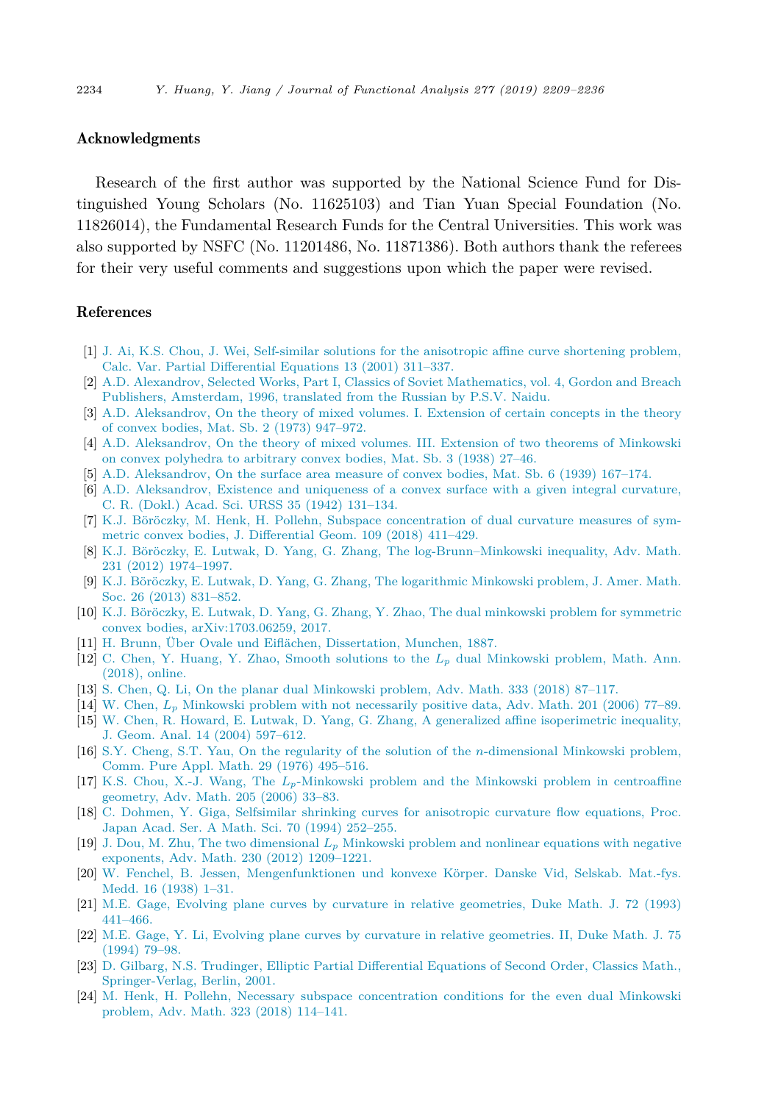#### <span id="page-25-0"></span>Acknowledgments

Research of the first author was supported by the National Science Fund for Distinguished Young Scholars (No. 11625103) and Tian Yuan Special Foundation (No. 11826014), the Fundamental Research Funds for the Central Universities. This work was also supported by NSFC (No. 11201486, No. 11871386). Both authors thank the referees for their very useful comments and suggestions upon which the paper were revised.

#### References

- [1] J. Ai, K.S. Chou, J. Wei, [Self-similar](http://refhub.elsevier.com/S0022-1236(19)30049-7/bib414357s1) solutions for the anisotropic affine curve shortening problem, Calc. Var. Partial [Differential](http://refhub.elsevier.com/S0022-1236(19)30049-7/bib414357s1) Equations 13 (2001) 311–337.
- [2] A.D. Alexandrov, Selected Works, Part I, Classics of Soviet [Mathematics,](http://refhub.elsevier.com/S0022-1236(19)30049-7/bib41s1) vol. 4, Gordon and Breach Publishers, [Amsterdam,](http://refhub.elsevier.com/S0022-1236(19)30049-7/bib41s1) 1996, translated from the Russian by P.S.V. Naidu.
- [3] A.D. [Aleksandrov,](http://refhub.elsevier.com/S0022-1236(19)30049-7/bib416C31s1) On the theory of mixed volumes. I. Extension of certain concepts in the theory of convex bodies, Mat. Sb. 2 (1973) [947–972.](http://refhub.elsevier.com/S0022-1236(19)30049-7/bib416C31s1)
- [4] A.D. [Aleksandrov,](http://refhub.elsevier.com/S0022-1236(19)30049-7/bib416C32s1) On the theory of mixed volumes. III. Extension of two theorems of Minkowski on convex [polyhedra](http://refhub.elsevier.com/S0022-1236(19)30049-7/bib416C32s1) to arbitrary convex bodies, Mat. Sb. 3 (1938) 27–46.
- [5] A.D. [Aleksandrov,](http://refhub.elsevier.com/S0022-1236(19)30049-7/bib416C33s1) On the surface area measure of convex bodies, Mat. Sb. 6 (1939) 167–174.
- [6] A.D. [Aleksandrov,](http://refhub.elsevier.com/S0022-1236(19)30049-7/bib416C34s1) Existence and uniqueness of a convex surface with a given integral curvature, C. R. (Dokl.) Acad. Sci. URSS 35 (1942) [131–134.](http://refhub.elsevier.com/S0022-1236(19)30049-7/bib416C34s1)
- [7] K.J. Böröczky, M. Henk, H. Pollehn, Subspace [concentration](http://refhub.elsevier.com/S0022-1236(19)30049-7/bib424850s1) of dual curvature measures of symmetric convex bodies, J. [Differential](http://refhub.elsevier.com/S0022-1236(19)30049-7/bib424850s1) Geom. 109 (2018) 411–429.
- [8] K.J. Böröczky, E. Lutwak, D. Yang, G. Zhang, The [log-Brunn–Minkowski](http://refhub.elsevier.com/S0022-1236(19)30049-7/bib424C595A3132616476s1) inequality, Adv. Math. 231 (2012) [1974–1997.](http://refhub.elsevier.com/S0022-1236(19)30049-7/bib424C595A3132616476s1)
- [9] K.J. Böröczky, E. Lutwak, D. Yang, G. Zhang, The [logarithmic](http://refhub.elsevier.com/S0022-1236(19)30049-7/bib424C595As1) Minkowski problem, J. Amer. Math. Soc. 26 (2013) [831–852.](http://refhub.elsevier.com/S0022-1236(19)30049-7/bib424C595As1)
- [10] K.J. Böröczky, E. Lutwak, D. Yang, G. Zhang, Y. Zhao, The dual [minkowski](http://refhub.elsevier.com/S0022-1236(19)30049-7/bib424C595A5As1) problem for symmetric convex bodies, [arXiv:1703.06259,](http://refhub.elsevier.com/S0022-1236(19)30049-7/bib424C595A5As1) 2017.
- [11] H. Brunn, Über Ovale und Eiflächen, [Dissertation,](http://refhub.elsevier.com/S0022-1236(19)30049-7/bib42723837s1) Munchen, 1887.
- [12] C. Chen, Y. Huang, Y. Zhao, Smooth solutions to the *L<sup>p</sup>* dual [Minkowski](http://refhub.elsevier.com/S0022-1236(19)30049-7/bib43485As1) problem, Math. Ann. [\(2018\),](http://refhub.elsevier.com/S0022-1236(19)30049-7/bib43485As1) online.
- [13] S. Chen, Q. Li, On the planar dual [Minkowski](http://refhub.elsevier.com/S0022-1236(19)30049-7/bib434Cs1) problem, Adv. Math. 333 (2018) 87–117.
- [14] W. Chen, *L<sup>p</sup>* Minkowski problem with not [necessarily](http://refhub.elsevier.com/S0022-1236(19)30049-7/bib43s1) positive data, Adv. Math. 201 (2006) 77–89.
- [15] W. Chen, R. Howard, E. Lutwak, D. Yang, G. Zhang, A generalized affine [isoperimetric](http://refhub.elsevier.com/S0022-1236(19)30049-7/bib43484C595As1) inequality, J. Geom. Anal. 14 (2004) [597–612.](http://refhub.elsevier.com/S0022-1236(19)30049-7/bib43484C595As1)
- [16] S.Y. Cheng, S.T. Yau, On the regularity of the solution of the *n*[-dimensional](http://refhub.elsevier.com/S0022-1236(19)30049-7/bib4359s1) Minkowski problem, Comm. Pure Appl. Math. 29 (1976) [495–516.](http://refhub.elsevier.com/S0022-1236(19)30049-7/bib4359s1)
- [17] K.S. Chou, X.-J. Wang, The *Lp*-Minkowski problem and the Minkowski problem in [centroaffine](http://refhub.elsevier.com/S0022-1236(19)30049-7/bib4357s1) [geometry,](http://refhub.elsevier.com/S0022-1236(19)30049-7/bib4357s1) Adv. Math. 205 (2006) 33–83.
- [18] C. Dohmen, Y. Giga, Selfsimilar shrinking curves for [anisotropic](http://refhub.elsevier.com/S0022-1236(19)30049-7/bib4447s1) curvature flow equations, Proc. Japan Acad. Ser. A Math. Sci. 70 (1994) [252–255.](http://refhub.elsevier.com/S0022-1236(19)30049-7/bib4447s1)
- [19] J. Dou, M. Zhu, The two [dimensional](http://refhub.elsevier.com/S0022-1236(19)30049-7/bib445As1) *L<sup>p</sup>* Minkowski problem and nonlinear equations with negative exponents, Adv. Math. 230 (2012) [1209–1221.](http://refhub.elsevier.com/S0022-1236(19)30049-7/bib445As1)
- [20] W. Fenchel, B. Jessen, [Mengenfunktionen](http://refhub.elsevier.com/S0022-1236(19)30049-7/bib464As1) und konvexe Körper. Danske Vid, Selskab. Mat.-fys. Medd. 16 [\(1938\)](http://refhub.elsevier.com/S0022-1236(19)30049-7/bib464As1) 1–31.
- [21] M.E. Gage, Evolving plane curves by curvature in relative [geometries,](http://refhub.elsevier.com/S0022-1236(19)30049-7/bib47s1) Duke Math. J. 72 (1993) [441–466.](http://refhub.elsevier.com/S0022-1236(19)30049-7/bib47s1)
- [22] M.E. Gage, Y. Li, Evolving plane curves by curvature in relative [geometries.](http://refhub.elsevier.com/S0022-1236(19)30049-7/bib4731s1) II, Duke Math. J. 75 [\(1994\)](http://refhub.elsevier.com/S0022-1236(19)30049-7/bib4731s1) 79–98.
- [23] D. Gilbarg, N.S. Trudinger, Elliptic Partial [Differential](http://refhub.elsevier.com/S0022-1236(19)30049-7/bib4754s1) Equations of Second Order, Classics Math., [Springer-Verlag,](http://refhub.elsevier.com/S0022-1236(19)30049-7/bib4754s1) Berlin, 2001.
- [24] M. Henk, H. Pollehn, Necessary subspace [concentration](http://refhub.elsevier.com/S0022-1236(19)30049-7/bib4850s1) conditions for the even dual Minkowski [problem,](http://refhub.elsevier.com/S0022-1236(19)30049-7/bib4850s1) Adv. Math. 323 (2018) 114–141.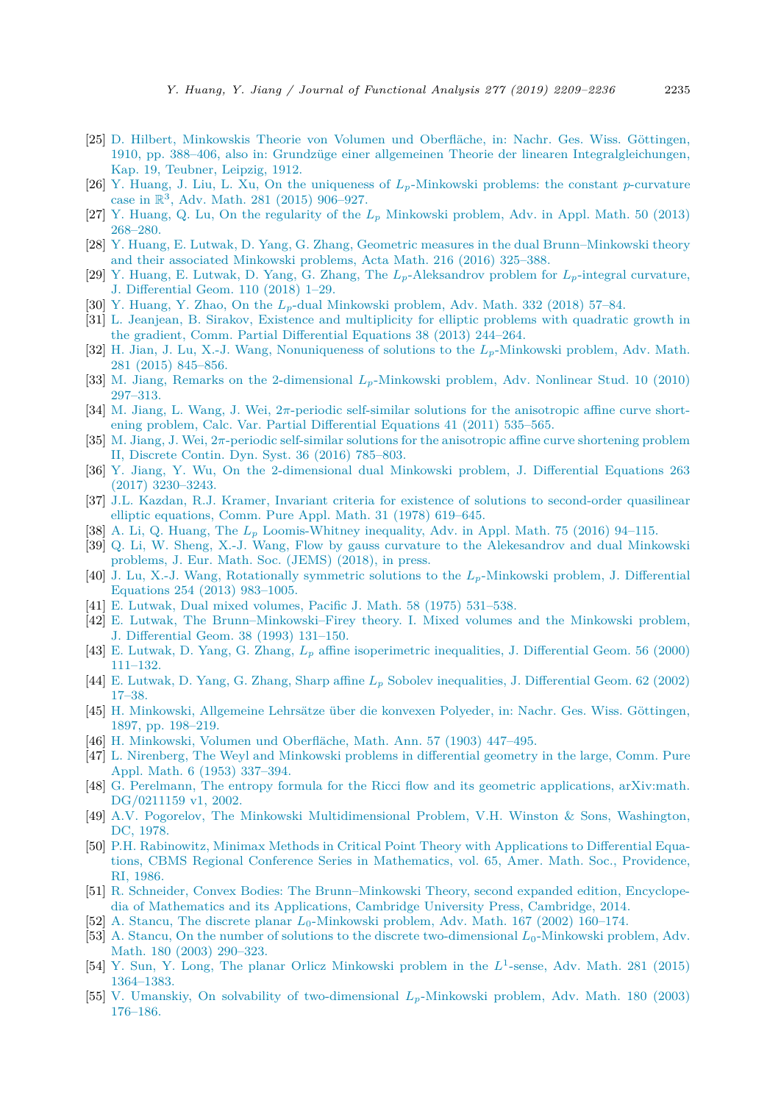- <span id="page-26-0"></span>[25] D. Hilbert, [Minkowskis](http://refhub.elsevier.com/S0022-1236(19)30049-7/bib483132s1) Theorie von Volumen und Oberfläche, in: Nachr. Ges. Wiss. Göttingen, 1910, pp. 388–406, also in: Grundzüge einer allgemeinen Theorie der linearen [Integralgleichungen,](http://refhub.elsevier.com/S0022-1236(19)30049-7/bib483132s1) Kap. 19, [Teubner,](http://refhub.elsevier.com/S0022-1236(19)30049-7/bib483132s1) Leipzig, 1912.
- [26] Y. Huang, J. Liu, L. Xu, On the uniqueness of *Lp*[-Minkowski](http://refhub.elsevier.com/S0022-1236(19)30049-7/bib484C4C32303135s1) problems: the constant *p*-curvature case in R3, Adv. Math. 281 (2015) [906–927.](http://refhub.elsevier.com/S0022-1236(19)30049-7/bib484C4C32303135s1)
- [27] Y. Huang, Q. Lu, On the regularity of the *L<sup>p</sup>* [Minkowski](http://refhub.elsevier.com/S0022-1236(19)30049-7/bib484Cs1) problem, Adv. in Appl. Math. 50 (2013) [268–280.](http://refhub.elsevier.com/S0022-1236(19)30049-7/bib484Cs1)
- [28] Y. Huang, E. Lutwak, D. Yang, G. Zhang, Geometric measures in the dual [Brunn–Minkowski](http://refhub.elsevier.com/S0022-1236(19)30049-7/bib4875616E6732303136s1) theory and their associated [Minkowski](http://refhub.elsevier.com/S0022-1236(19)30049-7/bib4875616E6732303136s1) problems, Acta Math. 216 (2016) 325–388.
- [29] Y. Huang, E. Lutwak, D. Yang, G. Zhang, The *Lp*[-Aleksandrov](http://refhub.elsevier.com/S0022-1236(19)30049-7/bib484C595A32s1) problem for *Lp*-integral curvature, J. [Differential](http://refhub.elsevier.com/S0022-1236(19)30049-7/bib484C595A32s1) Geom. 110 (2018) 1–29.
- [30] Y. Huang, Y. Zhao, On the *Lp*-dual [Minkowski](http://refhub.elsevier.com/S0022-1236(19)30049-7/bib485As1) problem, Adv. Math. 332 (2018) 57–84.
- [31] L. Jeanjean, B. Sirakov, Existence and [multiplicity](http://refhub.elsevier.com/S0022-1236(19)30049-7/bib4A53s1) for elliptic problems with quadratic growth in the gradient, Comm. Partial [Differential](http://refhub.elsevier.com/S0022-1236(19)30049-7/bib4A53s1) Equations 38 (2013) 244–264.
- [32] H. Jian, J. Lu, X.-J. Wang, [Nonuniqueness](http://refhub.elsevier.com/S0022-1236(19)30049-7/bib4A4C57s1) of solutions to the *Lp*-Minkowski problem, Adv. Math. 281 (2015) [845–856.](http://refhub.elsevier.com/S0022-1236(19)30049-7/bib4A4C57s1)
- [33] M. Jiang, Remarks on the [2-dimensional](http://refhub.elsevier.com/S0022-1236(19)30049-7/bib4As1) *Lp*-Minkowski problem, Adv. Nonlinear Stud. 10 (2010) [297–313.](http://refhub.elsevier.com/S0022-1236(19)30049-7/bib4As1)
- [34] M. Jiang, L. Wang, J. Wei, 2*π*-periodic self-similar solutions for the [anisotropic](http://refhub.elsevier.com/S0022-1236(19)30049-7/bib4A5757s1) affine curve shortening problem, Calc. Var. Partial [Differential](http://refhub.elsevier.com/S0022-1236(19)30049-7/bib4A5757s1) Equations 41 (2011) 535–565.
- [35] M. Jiang, J. Wei, 2*π*-periodic self-similar solutions for the [anisotropic](http://refhub.elsevier.com/S0022-1236(19)30049-7/bib4A57s1) affine curve shortening problem II, Discrete Contin. Dyn. Syst. 36 (2016) [785–803.](http://refhub.elsevier.com/S0022-1236(19)30049-7/bib4A57s1)
- [36] Y. Jiang, Y. Wu, On the [2-dimensional](http://refhub.elsevier.com/S0022-1236(19)30049-7/bib4A69616E675775s1) dual Minkowski problem, J. Differential Equations 263 (2017) [3230–3243.](http://refhub.elsevier.com/S0022-1236(19)30049-7/bib4A69616E675775s1)
- [37] J.L. Kazdan, R.J. Kramer, Invariant criteria for existence of solutions to [second-order](http://refhub.elsevier.com/S0022-1236(19)30049-7/bib4B4Bs1) quasilinear elliptic [equations,](http://refhub.elsevier.com/S0022-1236(19)30049-7/bib4B4Bs1) Comm. Pure Appl. Math. 31 (1978) 619–645.
- [38] A. Li, Q. Huang, The *L<sup>p</sup>* [Loomis-Whitney](http://refhub.elsevier.com/S0022-1236(19)30049-7/bib4C48s1) inequality, Adv. in Appl. Math. 75 (2016) 94–115.
- [39] Q. Li, W. Sheng, X.-J. Wang, Flow by gauss curvature to the [Alekesandrov](http://refhub.elsevier.com/S0022-1236(19)30049-7/bib4C5357s1) and dual Minkowski [problems,](http://refhub.elsevier.com/S0022-1236(19)30049-7/bib4C5357s1) J. Eur. Math. Soc. (JEMS) (2018), in press.
- [40] J. Lu, X.-J. Wang, [Rotationally](http://refhub.elsevier.com/S0022-1236(19)30049-7/bib4C57s1) symmetric solutions to the *Lp*-Minkowski problem, J. Differential [Equations](http://refhub.elsevier.com/S0022-1236(19)30049-7/bib4C57s1) 254 (2013) 983–1005.
- [41] E. Lutwak, Dual mixed [volumes,](http://refhub.elsevier.com/S0022-1236(19)30049-7/bib4C373570616369s1) Pacific J. Math. 58 (1975) 531–538.
- [42] E. Lutwak, The [Brunn–Minkowski–Firey](http://refhub.elsevier.com/S0022-1236(19)30049-7/bib4C7531s1) theory. I. Mixed volumes and the Minkowski problem, [J. Differential](http://refhub.elsevier.com/S0022-1236(19)30049-7/bib4C7531s1) Geom. 38 (1993) 131–150.
- [43] E. Lutwak, D. Yang, G. Zhang, *L<sup>p</sup>* affine [isoperimetric](http://refhub.elsevier.com/S0022-1236(19)30049-7/bib4C595As1) inequalities, J. Differential Geom. 56 (2000) [111–132.](http://refhub.elsevier.com/S0022-1236(19)30049-7/bib4C595As1)
- [44] E. Lutwak, D. Yang, G. Zhang, Sharp affine *L<sup>p</sup>* Sobolev [inequalities,](http://refhub.elsevier.com/S0022-1236(19)30049-7/bib4C595A31s1) J. Differential Geom. 62 (2002) [17–38.](http://refhub.elsevier.com/S0022-1236(19)30049-7/bib4C595A31s1)
- [45] H. [Minkowski,](http://refhub.elsevier.com/S0022-1236(19)30049-7/bib4D696E31s1) Allgemeine Lehrsätze über die konvexen Polyeder, in: Nachr. Ges. Wiss. Göttingen, 1897, [pp. 198–219.](http://refhub.elsevier.com/S0022-1236(19)30049-7/bib4D696E31s1)
- [46] H. Minkowski, Volumen und [Oberfläche,](http://refhub.elsevier.com/S0022-1236(19)30049-7/bib4D696E32s1) Math. Ann. 57 (1903) 447–495.
- [47] L. Nirenberg, The Weyl and Minkowski problems in [differential](http://refhub.elsevier.com/S0022-1236(19)30049-7/bib4Es1) geometry in the large, Comm. Pure Appl. Math. 6 (1953) [337–394.](http://refhub.elsevier.com/S0022-1236(19)30049-7/bib4Es1)
- [48] G. Perelmann, The entropy formula for the Ricci flow and its geometric [applications,](http://refhub.elsevier.com/S0022-1236(19)30049-7/bib504Cs1) arXiv:math. [DG/0211159 v1,](http://refhub.elsevier.com/S0022-1236(19)30049-7/bib504Cs1) 2002.
- [49] A.V. Pogorelov, The Minkowski [Multidimensional](http://refhub.elsevier.com/S0022-1236(19)30049-7/bib50s1) Problem, V.H. Winston & Sons, Washington, DC, [1978.](http://refhub.elsevier.com/S0022-1236(19)30049-7/bib50s1)
- [50] P.H. Rabinowitz, Minimax Methods in Critical Point Theory with [Applications](http://refhub.elsevier.com/S0022-1236(19)30049-7/bib5261502E48s1) to Differential Equations, CBMS Regional Conference Series in [Mathematics,](http://refhub.elsevier.com/S0022-1236(19)30049-7/bib5261502E48s1) vol. 65, Amer. Math. Soc., Providence, RI, [1986.](http://refhub.elsevier.com/S0022-1236(19)30049-7/bib5261502E48s1)
- [51] R. Schneider, Convex Bodies: The [Brunn–Minkowski](http://refhub.elsevier.com/S0022-1236(19)30049-7/bib5363s1) Theory, second expanded edition, Encyclopedia of Mathematics and its [Applications,](http://refhub.elsevier.com/S0022-1236(19)30049-7/bib5363s1) Cambridge University Press, Cambridge, 2014.
- [52] A. Stancu, The discrete planar  $L_0$ [-Minkowski](http://refhub.elsevier.com/S0022-1236(19)30049-7/bib5374s1) problem, Adv. Math. 167 (2002) 160–174.
- [53] A. Stancu, On the number of solutions to the discrete [two-dimensional](http://refhub.elsevier.com/S0022-1236(19)30049-7/bib537431s1) *L*0-Minkowski problem, Adv. Math. 180 (2003) [290–323.](http://refhub.elsevier.com/S0022-1236(19)30049-7/bib537431s1)
- [54] Y. Sun, Y. Long, The planar Orlicz [Minkowski](http://refhub.elsevier.com/S0022-1236(19)30049-7/bib53756E2D4C6F6E67s1) problem in the *L*<sup>1</sup>-sense, Adv. Math. 281 (2015) [1364–1383.](http://refhub.elsevier.com/S0022-1236(19)30049-7/bib53756E2D4C6F6E67s1)
- [55] V. Umanskiy, On solvability of [two-dimensional](http://refhub.elsevier.com/S0022-1236(19)30049-7/bib55s1) *Lp*-Minkowski problem, Adv. Math. 180 (2003) [176–186.](http://refhub.elsevier.com/S0022-1236(19)30049-7/bib55s1)